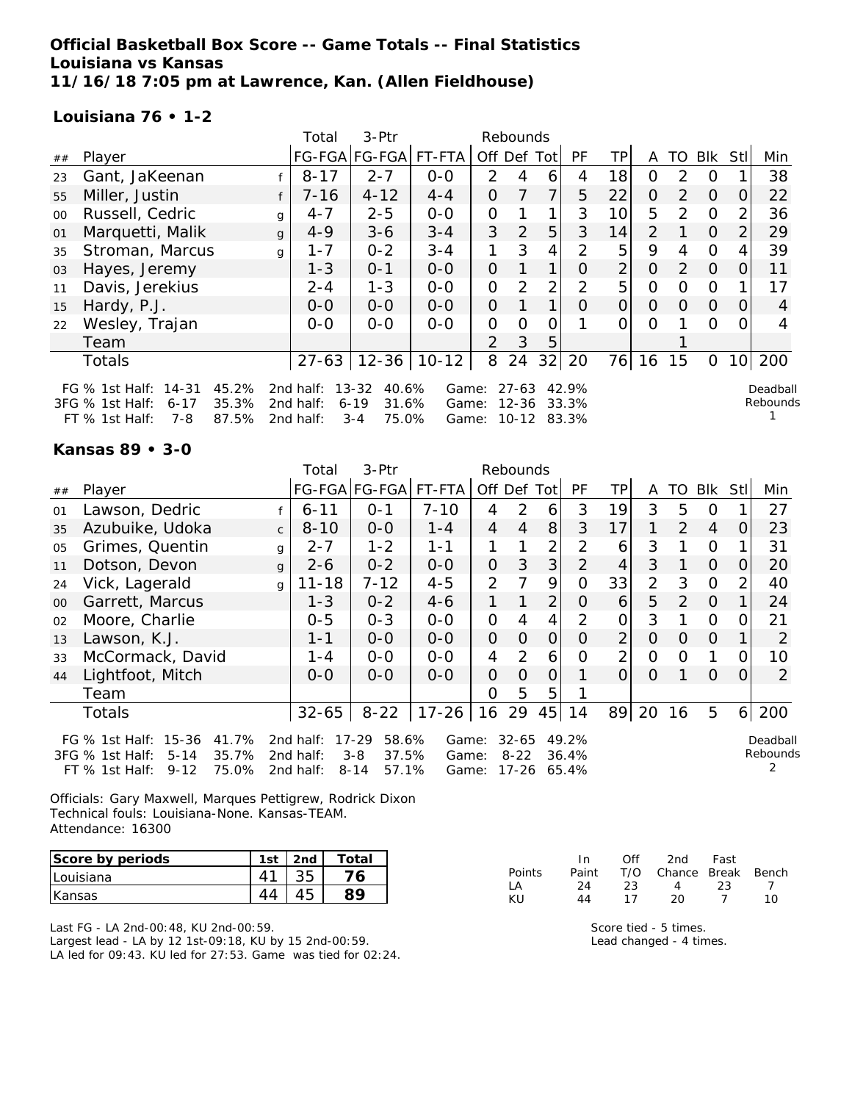# **Official Basketball Box Score -- Game Totals -- Final Statistics Louisiana vs Kansas 11/16/18 7:05 pm at Lawrence, Kan. (Allen Fieldhouse)**

FT % 1st Half: 7-8 87.5% 2nd half: 3-4 75.0% Game: 10-12 83.3%

### **Louisiana 76 • 1-2**

|        |                                                                                                                                |   | Total                              | $3-$ Ptr                                                    | Rebounds       |                     |                |                |                |                |                |               |          |                  |                      |
|--------|--------------------------------------------------------------------------------------------------------------------------------|---|------------------------------------|-------------------------------------------------------------|----------------|---------------------|----------------|----------------|----------------|----------------|----------------|---------------|----------|------------------|----------------------|
| ##     | Player                                                                                                                         |   |                                    | FG-FGA FG-FGA  FT-FTA                                       |                | Off Def             |                | Tot            | PF             | TP.            | A              | TO            | Blk      | Stl              | Min                  |
| 23     | Gant, JaKeenan                                                                                                                 |   | $8 - 17$                           | $2 - 7$                                                     | $O-O$          | $\mathcal{P}$       | 4              | 6              | 4              | 18             | 0              | 2             | 0        |                  | 38                   |
| 55     | Miller, Justin                                                                                                                 |   | $7 - 16$                           | $4 - 12$                                                    | $4 - 4$        | O                   |                |                | 5              | 22             | 0              | $\mathcal{P}$ | $\Omega$ | $\Omega$         | 22                   |
| $00\,$ | Russell, Cedric                                                                                                                | g | $4 - 7$                            | $2 - 5$                                                     | $0-0$          | 0                   |                | $\mathbf 1$    | 3              | 10             | 5              | $\mathcal{P}$ | $\Omega$ |                  | 36                   |
| 01     | Marquetti, Malik                                                                                                               | g | $4 - 9$                            | $3 - 6$                                                     | $3 - 4$        | 3                   | $\overline{2}$ | 5              | 3              | 14             | $\overline{2}$ |               | $\Omega$ |                  | 29                   |
| 35     | Stroman, Marcus                                                                                                                | g | $1 - 7$                            | $0 - 2$                                                     | $3 - 4$        | 1                   | 3              | 4              | 2              | 5              | 9              | 4             | $\Omega$ |                  | 39                   |
| 03     | Hayes, Jeremy                                                                                                                  |   | $1 - 3$                            | $0 - 1$                                                     | $0-0$          | 0                   |                |                | O              | $\overline{2}$ | 0              | $\mathcal{P}$ | $\Omega$ | $\left( \right)$ | 11                   |
| 11     | Davis, Jerekius                                                                                                                |   | $2 - 4$                            | $1 - 3$                                                     | $0 - 0$        | 0                   | $\mathcal{P}$  | $\overline{2}$ | $\mathcal{P}$  | 5              | $\Omega$       | $\Omega$      | $\Omega$ |                  | 17                   |
| 15     | Hardy, P.J.                                                                                                                    |   | $0-0$                              | $0-0$                                                       | $0 - 0$        | $\overline{O}$      |                | $\mathbf 1$    | O              | $\overline{O}$ | 0              | $\Omega$      | $\Omega$ | 0                | 4                    |
| 22     | Wesley, Trajan                                                                                                                 |   | $0 - 0$                            | $0 - 0$                                                     | $0 - 0$        | 0                   | O              | Ο              |                | 0              | $\Omega$       |               | $\Omega$ | $\left( \right)$ | 4                    |
|        | Team                                                                                                                           |   |                                    |                                                             |                | $\mathcal{P}$       | 3              | 5              |                |                |                |               |          |                  |                      |
|        | Totals                                                                                                                         |   |                                    | $27-63$   12-36                                             | $10 - 12$      | 8                   | 24             | 32             | 20             | 76             | 16             | 15            | $\Omega$ | 10               | 200                  |
|        | FG % 1st Half: 14-31<br>45.2%<br>$3FG \% 1st Half$ :<br>35.3%<br>$6 - 17$<br>$97.5\%$<br>$7 - 8$<br>$FT \,$ % 1ct Half $\cdot$ |   | 2nd half:<br>2nd half:<br>2nd half | $13 - 32$<br>40.6%<br>$6 - 19$<br>31.6%<br>75 0%<br>$2 - A$ | Game:<br>Game: | $Gama: 10-12.83.3%$ | 27-63<br>12-36 |                | 42.9%<br>33.3% |                |                |               |          |                  | Deadball<br>Rebounds |

### **Kansas 89 • 3-0**

|    |                                                                                                                     |              | Total                               | 3-Ptr                                                       | Rebounds                |                |                       |                |                |                |                |                |                |                |                      |
|----|---------------------------------------------------------------------------------------------------------------------|--------------|-------------------------------------|-------------------------------------------------------------|-------------------------|----------------|-----------------------|----------------|----------------|----------------|----------------|----------------|----------------|----------------|----------------------|
| ## | Player                                                                                                              |              |                                     | FG-FGA FG-FGA                                               | FT-FTA                  |                |                       | Off Def Tot    | PF             | TPI            | A              | TO             | Blk            | Stll           | Min                  |
| 01 | Lawson, Dedric                                                                                                      |              | $6 - 11$                            | $0 - 1$                                                     | $7 - 10$                | 4              | 2                     | 6              | 3              | 19             | 3              | 5              | O              |                | 27                   |
| 35 | Azubuike, Udoka                                                                                                     | $\mathsf{C}$ | $8 - 10$                            | $0-0$                                                       | $1 - 4$                 | 4              | $\overline{4}$        | 8              | 3              | 17             |                | 2              | $\overline{4}$ | 0              | 23                   |
| 05 | Grimes, Quentin                                                                                                     | g            | $2 - 7$                             | $1 - 2$                                                     | $1 - 1$                 |                |                       | 2              | 2              | 6              | 3              |                | 0              |                | 31                   |
| 11 | Dotson, Devon                                                                                                       | $\mathbf{q}$ | $2 - 6$                             | $0 - 2$                                                     | $0 - 0$                 | $\overline{O}$ | 3                     | 3              | 2              | $\overline{4}$ | 3              |                | $\Omega$       | O              | 20                   |
| 24 | Vick, Lagerald                                                                                                      | g            | $11 - 18$                           | $7 - 12$                                                    | $4 - 5$                 | $\overline{2}$ | 7                     | 9              | $\Omega$       | 33             | $\overline{2}$ | 3              | $\Omega$       | $\overline{2}$ | 40                   |
| 00 | Garrett, Marcus                                                                                                     |              | $1 - 3$                             | $0 - 2$                                                     | $4 - 6$                 | 1.             |                       | $\overline{2}$ | 0              | 6              | 5              | $\overline{2}$ | $\Omega$       |                | 24                   |
| 02 | Moore, Charlie                                                                                                      |              | $0 - 5$                             | $0 - 3$                                                     | $O-O$                   | $\mathcal{O}$  | 4                     | 4              | $\overline{2}$ | $\mathcal{O}$  | 3              |                | $\Omega$       | 0              | 21                   |
| 13 | Lawson, K.J.                                                                                                        |              | $1 - 1$                             | $0-0$                                                       | $0-0$                   | $\overline{O}$ | $\overline{O}$        | $\overline{O}$ | 0              | $\overline{2}$ | $\Omega$       | 0              | $\Omega$       |                | 2                    |
| 33 | McCormack, David                                                                                                    |              | $1 - 4$                             | $0-0$                                                       | $0-0$                   | 4              | 2                     | 6              | 0              | $\overline{2}$ | $\Omega$       | 0              | 1              | 0              | 10                   |
| 44 | Lightfoot, Mitch                                                                                                    |              | $O-O$                               | $0 - 0$                                                     | $0-0$                   | $\overline{O}$ | $\Omega$              | $\Omega$       |                | $\Omega$       | $\Omega$       |                | $\Omega$       | $\Omega$       | 2                    |
|    | Team                                                                                                                |              |                                     |                                                             |                         | $\Omega$       | 5                     | 5              |                |                |                |                |                |                |                      |
|    | <b>Totals</b>                                                                                                       |              | $32 - 65$                           | $8 - 22$                                                    | $17 - 26$               | 16 29          |                       |                | 45 14          | 89             | 20             | 16             | 5              |                | 6 200                |
|    | 41.7%<br>15-36<br>FG $%$ 1st Half:<br>35.7%<br>3FG % 1st Half:<br>$5 - 14$<br>75.0%<br>$9 - 12$<br>$FT$ % 1st Half: |              | 2nd half:<br>2nd half:<br>2nd half: | $17 - 29$<br>58.6%<br>$3 - 8$<br>37.5%<br>$8 - 14$<br>57.1% | Game:<br>Game:<br>Game: |                | $32 - 65$<br>$8 - 22$ | 17-26 65.4%    | 49.2%<br>36.4% |                |                |                |                |                | Deadball<br>Rebounds |

Officials: Gary Maxwell, Marques Pettigrew, Rodrick Dixon Technical fouls: Louisiana-None. Kansas-TEAM. Attendance: 16300

| Score by periods | 1 <sub>ct</sub> | 2n <sub>c</sub> | Total |
|------------------|-----------------|-----------------|-------|
| Louisiana        |                 |                 | ₼     |
| Kansas           |                 |                 |       |

Last FG - LA 2nd-00:48, KU 2nd-00:59. Largest lead - LA by 12 1st-09:18, KU by 15 2nd-00:59. LA led for 09:43. KU led for 27:53. Game was tied for 02:24.

|               | In In | Off | 2nd                    | Fast |     |
|---------------|-------|-----|------------------------|------|-----|
| <b>Points</b> | Paint |     | T/O Chance Break Bench |      |     |
| ΙA            | 24    | 23. | $\mathbf{\Delta}$      | -23. |     |
| KIJ           | 44    | 17  | 20                     |      | 1 N |

Score tied - 5 times. Lead changed - 4 times.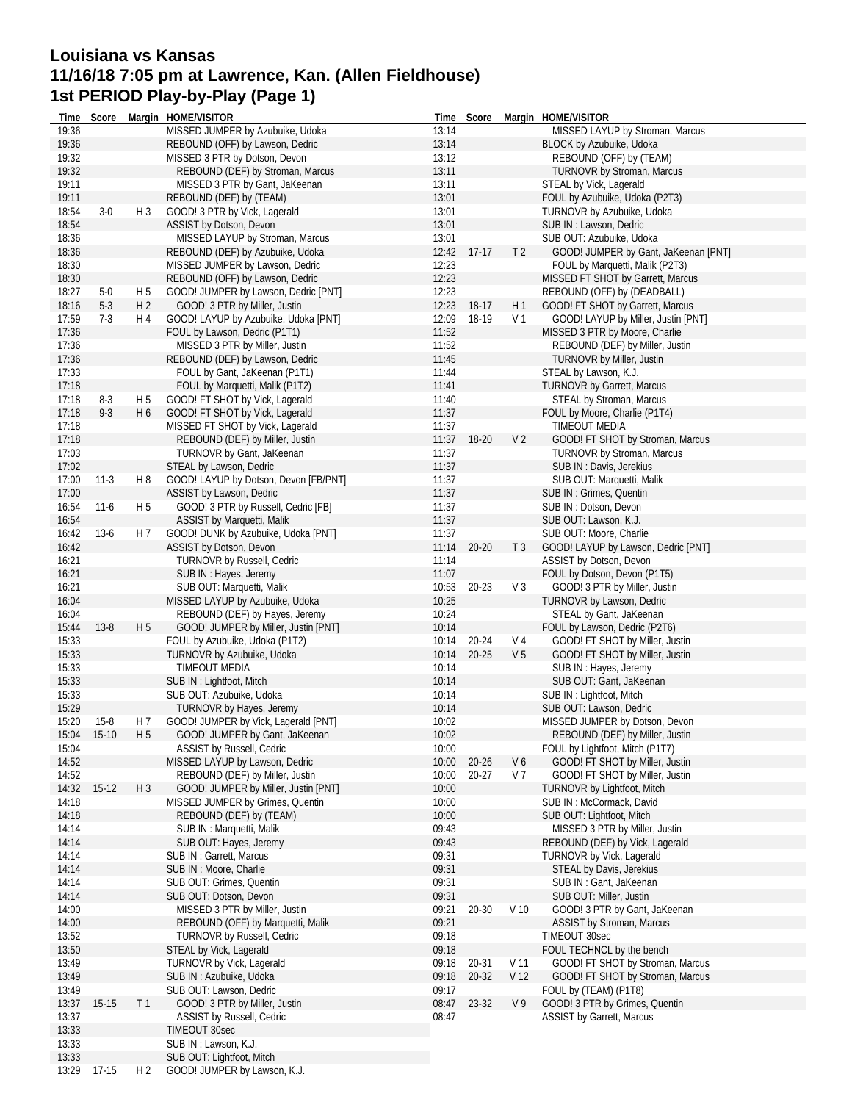# **Louisiana vs Kansas 11/16/18 7:05 pm at Lawrence, Kan. (Allen Fieldhouse) 1st PERIOD Play-by-Play (Page 1)**

| Time  | Score       |                | Margin HOME/VISITOR                   | Time  | Score     |                 | Margin HOME/VISITOR                  |
|-------|-------------|----------------|---------------------------------------|-------|-----------|-----------------|--------------------------------------|
| 19:36 |             |                | MISSED JUMPER by Azubuike, Udoka      | 13:14 |           |                 | MISSED LAYUP by Stroman, Marcus      |
| 19:36 |             |                | REBOUND (OFF) by Lawson, Dedric       | 13:14 |           |                 | BLOCK by Azubuike, Udoka             |
| 19:32 |             |                | MISSED 3 PTR by Dotson, Devon         | 13:12 |           |                 | REBOUND (OFF) by (TEAM)              |
| 19:32 |             |                | REBOUND (DEF) by Stroman, Marcus      | 13:11 |           |                 | TURNOVR by Stroman, Marcus           |
| 19:11 |             |                | MISSED 3 PTR by Gant, JaKeenan        | 13:11 |           |                 | STEAL by Vick, Lagerald              |
| 19:11 |             |                | REBOUND (DEF) by (TEAM)               | 13:01 |           |                 | FOUL by Azubuike, Udoka (P2T3)       |
| 18:54 | $3-0$       | H <sub>3</sub> | GOOD! 3 PTR by Vick, Lagerald         | 13:01 |           |                 | TURNOVR by Azubuike, Udoka           |
| 18:54 |             |                | ASSIST by Dotson, Devon               | 13:01 |           |                 | SUB IN : Lawson, Dedric              |
| 18:36 |             |                | MISSED LAYUP by Stroman, Marcus       | 13:01 |           |                 | SUB OUT: Azubuike, Udoka             |
| 18:36 |             |                | REBOUND (DEF) by Azubuike, Udoka      | 12:42 | $17-17$   | T <sub>2</sub>  | GOOD! JUMPER by Gant, JaKeenan [PNT] |
|       |             |                |                                       |       |           |                 |                                      |
| 18:30 |             |                | MISSED JUMPER by Lawson, Dedric       | 12:23 |           |                 | FOUL by Marquetti, Malik (P2T3)      |
| 18:30 |             |                | REBOUND (OFF) by Lawson, Dedric       | 12:23 |           |                 | MISSED FT SHOT by Garrett, Marcus    |
| 18:27 | $5-0$       | H 5            | GOOD! JUMPER by Lawson, Dedric [PNT]  | 12:23 |           |                 | REBOUND (OFF) by (DEADBALL)          |
| 18:16 | $5-3$       | H <sub>2</sub> | GOOD! 3 PTR by Miller, Justin         | 12:23 | 18-17     | H 1             | GOOD! FT SHOT by Garrett, Marcus     |
| 17:59 | $7-3$       | H 4            | GOOD! LAYUP by Azubuike, Udoka [PNT]  | 12:09 | 18-19     | V 1             | GOOD! LAYUP by Miller, Justin [PNT]  |
| 17:36 |             |                | FOUL by Lawson, Dedric (P1T1)         | 11:52 |           |                 | MISSED 3 PTR by Moore, Charlie       |
| 17:36 |             |                | MISSED 3 PTR by Miller, Justin        | 11:52 |           |                 | REBOUND (DEF) by Miller, Justin      |
| 17:36 |             |                | REBOUND (DEF) by Lawson, Dedric       | 11:45 |           |                 | <b>TURNOVR by Miller, Justin</b>     |
| 17:33 |             |                | FOUL by Gant, JaKeenan (P1T1)         | 11:44 |           |                 | STEAL by Lawson, K.J.                |
| 17:18 |             |                | FOUL by Marquetti, Malik (P1T2)       | 11:41 |           |                 | <b>TURNOVR by Garrett, Marcus</b>    |
| 17:18 | $8-3$       | H 5            | GOOD! FT SHOT by Vick, Lagerald       | 11:40 |           |                 | STEAL by Stroman, Marcus             |
| 17:18 | $9 - 3$     | H <sub>6</sub> | GOOD! FT SHOT by Vick, Lagerald       | 11:37 |           |                 | FOUL by Moore, Charlie (P1T4)        |
| 17:18 |             |                | MISSED FT SHOT by Vick, Lagerald      | 11:37 |           |                 | <b>TIMEOUT MEDIA</b>                 |
| 17:18 |             |                | REBOUND (DEF) by Miller, Justin       | 11:37 | 18-20     | V <sub>2</sub>  | GOOD! FT SHOT by Stroman, Marcus     |
| 17:03 |             |                | TURNOVR by Gant, JaKeenan             | 11:37 |           |                 | TURNOVR by Stroman, Marcus           |
| 17:02 |             |                | STEAL by Lawson, Dedric               | 11:37 |           |                 | SUB IN : Davis, Jerekius             |
|       |             |                |                                       |       |           |                 |                                      |
| 17:00 | $11-3$      | H8             | GOOD! LAYUP by Dotson, Devon [FB/PNT] | 11:37 |           |                 | SUB OUT: Marquetti, Malik            |
| 17:00 |             |                | ASSIST by Lawson, Dedric              | 11:37 |           |                 | SUB IN: Grimes, Quentin              |
| 16:54 | $11-6$      | H <sub>5</sub> | GOOD! 3 PTR by Russell, Cedric [FB]   | 11:37 |           |                 | SUB IN: Dotson, Devon                |
| 16:54 |             |                | ASSIST by Marquetti, Malik            | 11:37 |           |                 | SUB OUT: Lawson, K.J.                |
| 16:42 | $13-6$      | H 7            | GOOD! DUNK by Azubuike, Udoka [PNT]   | 11:37 |           |                 | SUB OUT: Moore, Charlie              |
| 16:42 |             |                | ASSIST by Dotson, Devon               | 11:14 | $20 - 20$ | T <sub>3</sub>  | GOOD! LAYUP by Lawson, Dedric [PNT]  |
| 16:21 |             |                | TURNOVR by Russell, Cedric            | 11:14 |           |                 | ASSIST by Dotson, Devon              |
| 16:21 |             |                | SUB IN : Hayes, Jeremy                | 11:07 |           |                 | FOUL by Dotson, Devon (P1T5)         |
| 16:21 |             |                | SUB OUT: Marquetti, Malik             | 10:53 | 20-23     | V <sub>3</sub>  | GOOD! 3 PTR by Miller, Justin        |
| 16:04 |             |                | MISSED LAYUP by Azubuike, Udoka       | 10:25 |           |                 | TURNOVR by Lawson, Dedric            |
| 16:04 |             |                | REBOUND (DEF) by Hayes, Jeremy        | 10:24 |           |                 | STEAL by Gant, JaKeenan              |
| 15:44 | $13 - 8$    | H <sub>5</sub> | GOOD! JUMPER by Miller, Justin [PNT]  | 10:14 |           |                 | FOUL by Lawson, Dedric (P2T6)        |
| 15:33 |             |                | FOUL by Azubuike, Udoka (P1T2)        | 10:14 | 20-24     | V 4             | GOOD! FT SHOT by Miller, Justin      |
| 15:33 |             |                | TURNOVR by Azubuike, Udoka            | 10:14 | $20 - 25$ | V <sub>5</sub>  | GOOD! FT SHOT by Miller, Justin      |
| 15:33 |             |                | <b>TIMEOUT MEDIA</b>                  | 10:14 |           |                 | SUB IN: Hayes, Jeremy                |
| 15:33 |             |                | SUB IN: Lightfoot, Mitch              | 10:14 |           |                 | SUB OUT: Gant, JaKeenan              |
| 15:33 |             |                | SUB OUT: Azubuike, Udoka              | 10:14 |           |                 | SUB IN: Lightfoot, Mitch             |
|       |             |                |                                       |       |           |                 |                                      |
| 15:29 |             |                | TURNOVR by Hayes, Jeremy              | 10:14 |           |                 | SUB OUT: Lawson, Dedric              |
| 15:20 | $15-8$      | H 7            | GOOD! JUMPER by Vick, Lagerald [PNT]  | 10:02 |           |                 | MISSED JUMPER by Dotson, Devon       |
|       | 15:04 15-10 | H <sub>5</sub> | GOOD! JUMPER by Gant, JaKeenan        | 10:02 |           |                 | REBOUND (DEF) by Miller, Justin      |
| 15:04 |             |                | <b>ASSIST by Russell, Cedric</b>      | 10:00 |           |                 | FOUL by Lightfoot, Mitch (P1T7)      |
| 14:52 |             |                | MISSED LAYUP by Lawson, Dedric        | 10:00 | $20 - 26$ | V6              | GOOD! FT SHOT by Miller, Justin      |
| 14:52 |             |                | REBOUND (DEF) by Miller, Justin       | 10:00 | 20-27     | V <sub>7</sub>  | GOOD! FT SHOT by Miller, Justin      |
| 14:32 | $15-12$     | H <sub>3</sub> | GOOD! JUMPER by Miller, Justin [PNT]  | 10:00 |           |                 | <b>TURNOVR by Lightfoot, Mitch</b>   |
| 14:18 |             |                | MISSED JUMPER by Grimes, Quentin      | 10:00 |           |                 | SUB IN: McCormack, David             |
| 14:18 |             |                | REBOUND (DEF) by (TEAM)               | 10:00 |           |                 | SUB OUT: Lightfoot, Mitch            |
| 14:14 |             |                | SUB IN: Marquetti, Malik              | 09:43 |           |                 | MISSED 3 PTR by Miller, Justin       |
| 14:14 |             |                | SUB OUT: Hayes, Jeremy                | 09:43 |           |                 | REBOUND (DEF) by Vick, Lagerald      |
| 14:14 |             |                | SUB IN : Garrett, Marcus              | 09:31 |           |                 | TURNOVR by Vick, Lagerald            |
| 14:14 |             |                | SUB IN : Moore, Charlie               | 09:31 |           |                 | STEAL by Davis, Jerekius             |
| 14:14 |             |                | SUB OUT: Grimes, Quentin              | 09:31 |           |                 | SUB IN: Gant, JaKeenan               |
| 14:14 |             |                | SUB OUT: Dotson, Devon                | 09:31 |           |                 | SUB OUT: Miller, Justin              |
| 14:00 |             |                | MISSED 3 PTR by Miller, Justin        | 09:21 | 20-30     | V <sub>10</sub> | GOOD! 3 PTR by Gant, JaKeenan        |
| 14:00 |             |                | REBOUND (OFF) by Marquetti, Malik     | 09:21 |           |                 | ASSIST by Stroman, Marcus            |
| 13:52 |             |                | <b>TURNOVR by Russell, Cedric</b>     | 09:18 |           |                 | TIMEOUT 30sec                        |
|       |             |                |                                       |       |           |                 |                                      |
| 13:50 |             |                | STEAL by Vick, Lagerald               | 09:18 |           |                 | FOUL TECHNCL by the bench            |
| 13:49 |             |                | TURNOVR by Vick, Lagerald             | 09:18 | 20-31     | V 11            | GOOD! FT SHOT by Stroman, Marcus     |
| 13:49 |             |                | SUB IN: Azubuike, Udoka               | 09:18 | 20-32     | V 12            | GOOD! FT SHOT by Stroman, Marcus     |
| 13:49 |             |                | SUB OUT: Lawson, Dedric               | 09:17 |           |                 | FOUL by (TEAM) (P1T8)                |
| 13:37 | $15-15$     | T <sub>1</sub> | GOOD! 3 PTR by Miller, Justin         | 08:47 | 23-32     | V9              | GOOD! 3 PTR by Grimes, Quentin       |
| 13:37 |             |                | ASSIST by Russell, Cedric             | 08:47 |           |                 | <b>ASSIST by Garrett, Marcus</b>     |
| 13:33 |             |                | TIMEOUT 30sec                         |       |           |                 |                                      |
| 13:33 |             |                | SUB IN : Lawson, K.J.                 |       |           |                 |                                      |
| 13:33 |             |                | SUB OUT: Lightfoot, Mitch             |       |           |                 |                                      |
| 13:29 | 17-15       | H 2            | GOOD! JUMPER by Lawson, K.J.          |       |           |                 |                                      |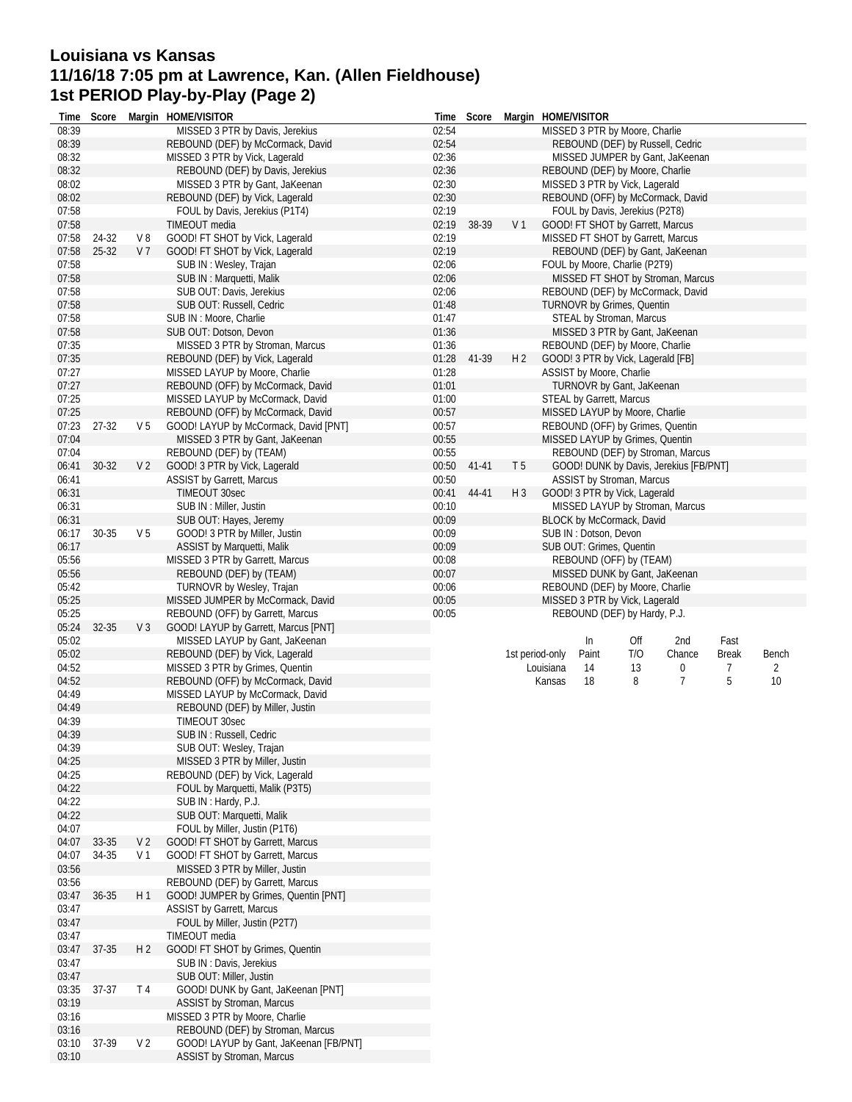# **Louisiana vs Kansas 11/16/18 7:05 pm at Lawrence, Kan. (Allen Fieldhouse) 1st PERIOD Play-by-Play (Page 2)**

| MISSED 3 PTR by Moore, Charlie<br>02:54<br>08:39<br>REBOUND (DEF) by McCormack, David<br>REBOUND (DEF) by Russell, Cedric<br>02:36<br>08:32<br>MISSED 3 PTR by Vick, Lagerald<br>MISSED JUMPER by Gant, JaKeenan<br>08:32<br>02:36<br>REBOUND (DEF) by Moore, Charlie<br>REBOUND (DEF) by Davis, Jerekius<br>02:30<br>08:02<br>MISSED 3 PTR by Gant, JaKeenan<br>MISSED 3 PTR by Vick, Lagerald<br>08:02<br>02:30<br>REBOUND (OFF) by McCormack, David<br>REBOUND (DEF) by Vick, Lagerald<br>02:19<br>07:58<br>FOUL by Davis, Jerekius (P2T8)<br>FOUL by Davis, Jerekius (P1T4)<br>07:58<br>TIMEOUT media<br>02:19<br>38-39<br>V <sub>1</sub><br>GOOD! FT SHOT by Garrett, Marcus<br>07:58<br>24-32<br>V8<br>GOOD! FT SHOT by Vick, Lagerald<br>02:19<br>MISSED FT SHOT by Garrett, Marcus<br>02:19<br>07:58<br>$25 - 32$<br>V <sub>7</sub><br>GOOD! FT SHOT by Vick, Lagerald<br>REBOUND (DEF) by Gant, JaKeenan<br>07:58<br>02:06<br>FOUL by Moore, Charlie (P2T9)<br>SUB IN: Wesley, Trajan<br>07:58<br>02:06<br>SUB IN: Marquetti, Malik<br>MISSED FT SHOT by Stroman, Marcus<br>07:58<br>02:06<br>SUB OUT: Davis, Jerekius<br>REBOUND (DEF) by McCormack, David<br>07:58<br>01:48<br>SUB OUT: Russell, Cedric<br><b>TURNOVR by Grimes, Quentin</b><br>07:58<br>01:47<br>SUB IN : Moore, Charlie<br>STEAL by Stroman, Marcus<br>07:58<br>01:36<br>SUB OUT: Dotson, Devon<br>MISSED 3 PTR by Gant, JaKeenan<br>07:35<br>01:36<br>MISSED 3 PTR by Stroman, Marcus<br>REBOUND (DEF) by Moore, Charlie<br>07:35<br>H <sub>2</sub><br>REBOUND (DEF) by Vick, Lagerald<br>01:28<br>41-39<br>GOOD! 3 PTR by Vick, Lagerald [FB]<br>07:27<br>MISSED LAYUP by Moore, Charlie<br>01:28<br>ASSIST by Moore, Charlie<br>07:27<br>REBOUND (OFF) by McCormack, David<br>01:01<br>TURNOVR by Gant, JaKeenan<br>07:25<br>MISSED LAYUP by McCormack, David<br>01:00<br>STEAL by Garrett, Marcus<br>07:25<br>REBOUND (OFF) by McCormack, David<br>00:57<br>MISSED LAYUP by Moore, Charlie<br>V <sub>5</sub><br>00:57<br>07:23<br>27-32<br>GOOD! LAYUP by McCormack, David [PNT]<br>REBOUND (OFF) by Grimes, Quentin<br>07:04<br>00:55<br>MISSED 3 PTR by Gant, JaKeenan<br>MISSED LAYUP by Grimes, Quentin<br>07:04<br>00:55<br>REBOUND (DEF) by (TEAM)<br>REBOUND (DEF) by Stroman, Marcus<br>00:50<br>06:41<br>$30-32$<br>V <sub>2</sub><br>GOOD! 3 PTR by Vick, Lagerald<br>41-41<br>T <sub>5</sub><br>GOOD! DUNK by Davis, Jerekius [FB/PNT]<br>00:50<br>ASSIST by Stroman, Marcus<br>06:41<br><b>ASSIST by Garrett, Marcus</b><br>00:41<br>06:31<br><b>TIMEOUT 30sec</b><br>44-41<br>$H_3$<br>GOOD! 3 PTR by Vick, Lagerald<br>06:31<br>00:10<br>MISSED LAYUP by Stroman, Marcus<br>SUB IN: Miller, Justin<br>06:31<br>00:09<br>BLOCK by McCormack, David<br>SUB OUT: Hayes, Jeremy<br>30-35<br>V <sub>5</sub><br>00:09<br>06:17<br>GOOD! 3 PTR by Miller, Justin<br>SUB IN: Dotson, Devon<br>00:09<br>06:17<br>ASSIST by Marquetti, Malik<br>SUB OUT: Grimes, Quentin<br>00:08<br>05:56<br>MISSED 3 PTR by Garrett, Marcus<br>REBOUND (OFF) by (TEAM)<br>05:56<br>00:07<br>REBOUND (DEF) by (TEAM)<br>MISSED DUNK by Gant, JaKeenan<br>05:42<br>TURNOVR by Wesley, Trajan<br>00:06<br>REBOUND (DEF) by Moore, Charlie<br>05:25<br>00:05<br>MISSED JUMPER by McCormack, David<br>MISSED 3 PTR by Vick, Lagerald<br>05:25<br>00:05<br>REBOUND (OFF) by Garrett, Marcus<br>REBOUND (DEF) by Hardy, P.J.<br>05:24<br>$V_3$<br>GOOD! LAYUP by Garrett, Marcus [PNT]<br>32-35<br>05:02<br>MISSED LAYUP by Gant, JaKeenan<br>In<br>Off<br>2nd<br>Fast<br>05:02<br>REBOUND (DEF) by Vick, Lagerald<br>T/O<br><b>Break</b><br>1st period-only<br>Paint<br>Chance<br>Bench<br>04:52<br>MISSED 3 PTR by Grimes, Quentin<br>14<br>13<br>0<br>7<br>Louisiana<br>2<br>$\overline{7}$<br>5<br>04:52<br>REBOUND (OFF) by McCormack, David<br>18<br>8<br>10<br>Kansas<br>04:49<br>MISSED LAYUP by McCormack, David<br>04:49<br>REBOUND (DEF) by Miller, Justin<br>04:39<br>TIMEOUT 30sec<br>04:39<br>SUB IN: Russell, Cedric<br>04:39<br>SUB OUT: Wesley, Trajan<br>MISSED 3 PTR by Miller, Justin<br>04:25<br>REBOUND (DEF) by Vick, Lagerald<br>04:25<br>04:22<br>FOUL by Marquetti, Malik (P3T5)<br>04:22<br>SUB IN: Hardy, P.J.<br>04:22<br>SUB OUT: Marquetti, Malik<br>04:07<br>FOUL by Miller, Justin (P1T6)<br>04:07<br>33-35<br>V <sub>2</sub><br>GOOD! FT SHOT by Garrett, Marcus<br>04:07<br>34-35<br>GOOD! FT SHOT by Garrett, Marcus<br>V 1<br>03:56<br>MISSED 3 PTR by Miller, Justin<br>03:56<br>REBOUND (DEF) by Garrett, Marcus<br>03:47<br>36-35<br>GOOD! JUMPER by Grimes, Quentin [PNT]<br>H 1<br>03:47<br>ASSIST by Garrett, Marcus<br>03:47<br>FOUL by Miller, Justin (P2T7)<br>03:47<br>TIMEOUT media<br>03:47<br>37-35<br>H <sub>2</sub><br>GOOD! FT SHOT by Grimes, Quentin<br>03:47<br>SUB IN: Davis, Jerekius<br>03:47<br>SUB OUT: Miller, Justin<br>03:35<br>GOOD! DUNK by Gant, JaKeenan [PNT]<br>37-37<br>T 4<br>03:19<br>ASSIST by Stroman, Marcus<br>03:16<br>MISSED 3 PTR by Moore, Charlie<br>03:16<br>REBOUND (DEF) by Stroman, Marcus<br>V <sub>2</sub><br>03:10<br>37-39<br>GOOD! LAYUP by Gant, JaKeenan [FB/PNT]<br>03:10<br>ASSIST by Stroman, Marcus | Time  | Score | Margin HOME/VISITOR             |       | Time Score | Margin HOME/VISITOR |  |  |  |
|----------------------------------------------------------------------------------------------------------------------------------------------------------------------------------------------------------------------------------------------------------------------------------------------------------------------------------------------------------------------------------------------------------------------------------------------------------------------------------------------------------------------------------------------------------------------------------------------------------------------------------------------------------------------------------------------------------------------------------------------------------------------------------------------------------------------------------------------------------------------------------------------------------------------------------------------------------------------------------------------------------------------------------------------------------------------------------------------------------------------------------------------------------------------------------------------------------------------------------------------------------------------------------------------------------------------------------------------------------------------------------------------------------------------------------------------------------------------------------------------------------------------------------------------------------------------------------------------------------------------------------------------------------------------------------------------------------------------------------------------------------------------------------------------------------------------------------------------------------------------------------------------------------------------------------------------------------------------------------------------------------------------------------------------------------------------------------------------------------------------------------------------------------------------------------------------------------------------------------------------------------------------------------------------------------------------------------------------------------------------------------------------------------------------------------------------------------------------------------------------------------------------------------------------------------------------------------------------------------------------------------------------------------------------------------------------------------------------------------------------------------------------------------------------------------------------------------------------------------------------------------------------------------------------------------------------------------------------------------------------------------------------------------------------------------------------------------------------------------------------------------------------------------------------------------------------------------------------------------------------------------------------------------------------------------------------------------------------------------------------------------------------------------------------------------------------------------------------------------------------------------------------------------------------------------------------------------------------------------------------------------------------------------------------------------------------------------------------------------------------------------------------------------------------------------------------------------------------------------------------------------------------------------------------------------------------------------------------------------------------------------------------------------------------------------------------------------------------------------------------------------------------------------------------------------------------------------------------------------------------------------------------------------------------------------------------------------------------------------------------------------------------------------------------------------------------------------------------------------------------------------------------------------------------------------------------------------------------------------------------------------------------------------------------------------------------------------------------------------------------------------------------------------------------------------------------------------------------------------------------------------------------------------------------------------------------------------------------------------------------------------------------------------------------------------------------------------------------------------------------------------------------------------------------|-------|-------|---------------------------------|-------|------------|---------------------|--|--|--|
|                                                                                                                                                                                                                                                                                                                                                                                                                                                                                                                                                                                                                                                                                                                                                                                                                                                                                                                                                                                                                                                                                                                                                                                                                                                                                                                                                                                                                                                                                                                                                                                                                                                                                                                                                                                                                                                                                                                                                                                                                                                                                                                                                                                                                                                                                                                                                                                                                                                                                                                                                                                                                                                                                                                                                                                                                                                                                                                                                                                                                                                                                                                                                                                                                                                                                                                                                                                                                                                                                                                                                                                                                                                                                                                                                                                                                                                                                                                                                                                                                                                                                                                                                                                                                                                                                                                                                                                                                                                                                                                                                                                                                                                                                                                                                                                                                                                                                                                                                                                                                                                                                                                                                                      | 08:39 |       | MISSED 3 PTR by Davis, Jerekius | 02:54 |            |                     |  |  |  |
|                                                                                                                                                                                                                                                                                                                                                                                                                                                                                                                                                                                                                                                                                                                                                                                                                                                                                                                                                                                                                                                                                                                                                                                                                                                                                                                                                                                                                                                                                                                                                                                                                                                                                                                                                                                                                                                                                                                                                                                                                                                                                                                                                                                                                                                                                                                                                                                                                                                                                                                                                                                                                                                                                                                                                                                                                                                                                                                                                                                                                                                                                                                                                                                                                                                                                                                                                                                                                                                                                                                                                                                                                                                                                                                                                                                                                                                                                                                                                                                                                                                                                                                                                                                                                                                                                                                                                                                                                                                                                                                                                                                                                                                                                                                                                                                                                                                                                                                                                                                                                                                                                                                                                                      |       |       |                                 |       |            |                     |  |  |  |
|                                                                                                                                                                                                                                                                                                                                                                                                                                                                                                                                                                                                                                                                                                                                                                                                                                                                                                                                                                                                                                                                                                                                                                                                                                                                                                                                                                                                                                                                                                                                                                                                                                                                                                                                                                                                                                                                                                                                                                                                                                                                                                                                                                                                                                                                                                                                                                                                                                                                                                                                                                                                                                                                                                                                                                                                                                                                                                                                                                                                                                                                                                                                                                                                                                                                                                                                                                                                                                                                                                                                                                                                                                                                                                                                                                                                                                                                                                                                                                                                                                                                                                                                                                                                                                                                                                                                                                                                                                                                                                                                                                                                                                                                                                                                                                                                                                                                                                                                                                                                                                                                                                                                                                      |       |       |                                 |       |            |                     |  |  |  |
|                                                                                                                                                                                                                                                                                                                                                                                                                                                                                                                                                                                                                                                                                                                                                                                                                                                                                                                                                                                                                                                                                                                                                                                                                                                                                                                                                                                                                                                                                                                                                                                                                                                                                                                                                                                                                                                                                                                                                                                                                                                                                                                                                                                                                                                                                                                                                                                                                                                                                                                                                                                                                                                                                                                                                                                                                                                                                                                                                                                                                                                                                                                                                                                                                                                                                                                                                                                                                                                                                                                                                                                                                                                                                                                                                                                                                                                                                                                                                                                                                                                                                                                                                                                                                                                                                                                                                                                                                                                                                                                                                                                                                                                                                                                                                                                                                                                                                                                                                                                                                                                                                                                                                                      |       |       |                                 |       |            |                     |  |  |  |
|                                                                                                                                                                                                                                                                                                                                                                                                                                                                                                                                                                                                                                                                                                                                                                                                                                                                                                                                                                                                                                                                                                                                                                                                                                                                                                                                                                                                                                                                                                                                                                                                                                                                                                                                                                                                                                                                                                                                                                                                                                                                                                                                                                                                                                                                                                                                                                                                                                                                                                                                                                                                                                                                                                                                                                                                                                                                                                                                                                                                                                                                                                                                                                                                                                                                                                                                                                                                                                                                                                                                                                                                                                                                                                                                                                                                                                                                                                                                                                                                                                                                                                                                                                                                                                                                                                                                                                                                                                                                                                                                                                                                                                                                                                                                                                                                                                                                                                                                                                                                                                                                                                                                                                      |       |       |                                 |       |            |                     |  |  |  |
|                                                                                                                                                                                                                                                                                                                                                                                                                                                                                                                                                                                                                                                                                                                                                                                                                                                                                                                                                                                                                                                                                                                                                                                                                                                                                                                                                                                                                                                                                                                                                                                                                                                                                                                                                                                                                                                                                                                                                                                                                                                                                                                                                                                                                                                                                                                                                                                                                                                                                                                                                                                                                                                                                                                                                                                                                                                                                                                                                                                                                                                                                                                                                                                                                                                                                                                                                                                                                                                                                                                                                                                                                                                                                                                                                                                                                                                                                                                                                                                                                                                                                                                                                                                                                                                                                                                                                                                                                                                                                                                                                                                                                                                                                                                                                                                                                                                                                                                                                                                                                                                                                                                                                                      |       |       |                                 |       |            |                     |  |  |  |
|                                                                                                                                                                                                                                                                                                                                                                                                                                                                                                                                                                                                                                                                                                                                                                                                                                                                                                                                                                                                                                                                                                                                                                                                                                                                                                                                                                                                                                                                                                                                                                                                                                                                                                                                                                                                                                                                                                                                                                                                                                                                                                                                                                                                                                                                                                                                                                                                                                                                                                                                                                                                                                                                                                                                                                                                                                                                                                                                                                                                                                                                                                                                                                                                                                                                                                                                                                                                                                                                                                                                                                                                                                                                                                                                                                                                                                                                                                                                                                                                                                                                                                                                                                                                                                                                                                                                                                                                                                                                                                                                                                                                                                                                                                                                                                                                                                                                                                                                                                                                                                                                                                                                                                      |       |       |                                 |       |            |                     |  |  |  |
|                                                                                                                                                                                                                                                                                                                                                                                                                                                                                                                                                                                                                                                                                                                                                                                                                                                                                                                                                                                                                                                                                                                                                                                                                                                                                                                                                                                                                                                                                                                                                                                                                                                                                                                                                                                                                                                                                                                                                                                                                                                                                                                                                                                                                                                                                                                                                                                                                                                                                                                                                                                                                                                                                                                                                                                                                                                                                                                                                                                                                                                                                                                                                                                                                                                                                                                                                                                                                                                                                                                                                                                                                                                                                                                                                                                                                                                                                                                                                                                                                                                                                                                                                                                                                                                                                                                                                                                                                                                                                                                                                                                                                                                                                                                                                                                                                                                                                                                                                                                                                                                                                                                                                                      |       |       |                                 |       |            |                     |  |  |  |
|                                                                                                                                                                                                                                                                                                                                                                                                                                                                                                                                                                                                                                                                                                                                                                                                                                                                                                                                                                                                                                                                                                                                                                                                                                                                                                                                                                                                                                                                                                                                                                                                                                                                                                                                                                                                                                                                                                                                                                                                                                                                                                                                                                                                                                                                                                                                                                                                                                                                                                                                                                                                                                                                                                                                                                                                                                                                                                                                                                                                                                                                                                                                                                                                                                                                                                                                                                                                                                                                                                                                                                                                                                                                                                                                                                                                                                                                                                                                                                                                                                                                                                                                                                                                                                                                                                                                                                                                                                                                                                                                                                                                                                                                                                                                                                                                                                                                                                                                                                                                                                                                                                                                                                      |       |       |                                 |       |            |                     |  |  |  |
|                                                                                                                                                                                                                                                                                                                                                                                                                                                                                                                                                                                                                                                                                                                                                                                                                                                                                                                                                                                                                                                                                                                                                                                                                                                                                                                                                                                                                                                                                                                                                                                                                                                                                                                                                                                                                                                                                                                                                                                                                                                                                                                                                                                                                                                                                                                                                                                                                                                                                                                                                                                                                                                                                                                                                                                                                                                                                                                                                                                                                                                                                                                                                                                                                                                                                                                                                                                                                                                                                                                                                                                                                                                                                                                                                                                                                                                                                                                                                                                                                                                                                                                                                                                                                                                                                                                                                                                                                                                                                                                                                                                                                                                                                                                                                                                                                                                                                                                                                                                                                                                                                                                                                                      |       |       |                                 |       |            |                     |  |  |  |
|                                                                                                                                                                                                                                                                                                                                                                                                                                                                                                                                                                                                                                                                                                                                                                                                                                                                                                                                                                                                                                                                                                                                                                                                                                                                                                                                                                                                                                                                                                                                                                                                                                                                                                                                                                                                                                                                                                                                                                                                                                                                                                                                                                                                                                                                                                                                                                                                                                                                                                                                                                                                                                                                                                                                                                                                                                                                                                                                                                                                                                                                                                                                                                                                                                                                                                                                                                                                                                                                                                                                                                                                                                                                                                                                                                                                                                                                                                                                                                                                                                                                                                                                                                                                                                                                                                                                                                                                                                                                                                                                                                                                                                                                                                                                                                                                                                                                                                                                                                                                                                                                                                                                                                      |       |       |                                 |       |            |                     |  |  |  |
|                                                                                                                                                                                                                                                                                                                                                                                                                                                                                                                                                                                                                                                                                                                                                                                                                                                                                                                                                                                                                                                                                                                                                                                                                                                                                                                                                                                                                                                                                                                                                                                                                                                                                                                                                                                                                                                                                                                                                                                                                                                                                                                                                                                                                                                                                                                                                                                                                                                                                                                                                                                                                                                                                                                                                                                                                                                                                                                                                                                                                                                                                                                                                                                                                                                                                                                                                                                                                                                                                                                                                                                                                                                                                                                                                                                                                                                                                                                                                                                                                                                                                                                                                                                                                                                                                                                                                                                                                                                                                                                                                                                                                                                                                                                                                                                                                                                                                                                                                                                                                                                                                                                                                                      |       |       |                                 |       |            |                     |  |  |  |
|                                                                                                                                                                                                                                                                                                                                                                                                                                                                                                                                                                                                                                                                                                                                                                                                                                                                                                                                                                                                                                                                                                                                                                                                                                                                                                                                                                                                                                                                                                                                                                                                                                                                                                                                                                                                                                                                                                                                                                                                                                                                                                                                                                                                                                                                                                                                                                                                                                                                                                                                                                                                                                                                                                                                                                                                                                                                                                                                                                                                                                                                                                                                                                                                                                                                                                                                                                                                                                                                                                                                                                                                                                                                                                                                                                                                                                                                                                                                                                                                                                                                                                                                                                                                                                                                                                                                                                                                                                                                                                                                                                                                                                                                                                                                                                                                                                                                                                                                                                                                                                                                                                                                                                      |       |       |                                 |       |            |                     |  |  |  |
|                                                                                                                                                                                                                                                                                                                                                                                                                                                                                                                                                                                                                                                                                                                                                                                                                                                                                                                                                                                                                                                                                                                                                                                                                                                                                                                                                                                                                                                                                                                                                                                                                                                                                                                                                                                                                                                                                                                                                                                                                                                                                                                                                                                                                                                                                                                                                                                                                                                                                                                                                                                                                                                                                                                                                                                                                                                                                                                                                                                                                                                                                                                                                                                                                                                                                                                                                                                                                                                                                                                                                                                                                                                                                                                                                                                                                                                                                                                                                                                                                                                                                                                                                                                                                                                                                                                                                                                                                                                                                                                                                                                                                                                                                                                                                                                                                                                                                                                                                                                                                                                                                                                                                                      |       |       |                                 |       |            |                     |  |  |  |
|                                                                                                                                                                                                                                                                                                                                                                                                                                                                                                                                                                                                                                                                                                                                                                                                                                                                                                                                                                                                                                                                                                                                                                                                                                                                                                                                                                                                                                                                                                                                                                                                                                                                                                                                                                                                                                                                                                                                                                                                                                                                                                                                                                                                                                                                                                                                                                                                                                                                                                                                                                                                                                                                                                                                                                                                                                                                                                                                                                                                                                                                                                                                                                                                                                                                                                                                                                                                                                                                                                                                                                                                                                                                                                                                                                                                                                                                                                                                                                                                                                                                                                                                                                                                                                                                                                                                                                                                                                                                                                                                                                                                                                                                                                                                                                                                                                                                                                                                                                                                                                                                                                                                                                      |       |       |                                 |       |            |                     |  |  |  |
|                                                                                                                                                                                                                                                                                                                                                                                                                                                                                                                                                                                                                                                                                                                                                                                                                                                                                                                                                                                                                                                                                                                                                                                                                                                                                                                                                                                                                                                                                                                                                                                                                                                                                                                                                                                                                                                                                                                                                                                                                                                                                                                                                                                                                                                                                                                                                                                                                                                                                                                                                                                                                                                                                                                                                                                                                                                                                                                                                                                                                                                                                                                                                                                                                                                                                                                                                                                                                                                                                                                                                                                                                                                                                                                                                                                                                                                                                                                                                                                                                                                                                                                                                                                                                                                                                                                                                                                                                                                                                                                                                                                                                                                                                                                                                                                                                                                                                                                                                                                                                                                                                                                                                                      |       |       |                                 |       |            |                     |  |  |  |
|                                                                                                                                                                                                                                                                                                                                                                                                                                                                                                                                                                                                                                                                                                                                                                                                                                                                                                                                                                                                                                                                                                                                                                                                                                                                                                                                                                                                                                                                                                                                                                                                                                                                                                                                                                                                                                                                                                                                                                                                                                                                                                                                                                                                                                                                                                                                                                                                                                                                                                                                                                                                                                                                                                                                                                                                                                                                                                                                                                                                                                                                                                                                                                                                                                                                                                                                                                                                                                                                                                                                                                                                                                                                                                                                                                                                                                                                                                                                                                                                                                                                                                                                                                                                                                                                                                                                                                                                                                                                                                                                                                                                                                                                                                                                                                                                                                                                                                                                                                                                                                                                                                                                                                      |       |       |                                 |       |            |                     |  |  |  |
|                                                                                                                                                                                                                                                                                                                                                                                                                                                                                                                                                                                                                                                                                                                                                                                                                                                                                                                                                                                                                                                                                                                                                                                                                                                                                                                                                                                                                                                                                                                                                                                                                                                                                                                                                                                                                                                                                                                                                                                                                                                                                                                                                                                                                                                                                                                                                                                                                                                                                                                                                                                                                                                                                                                                                                                                                                                                                                                                                                                                                                                                                                                                                                                                                                                                                                                                                                                                                                                                                                                                                                                                                                                                                                                                                                                                                                                                                                                                                                                                                                                                                                                                                                                                                                                                                                                                                                                                                                                                                                                                                                                                                                                                                                                                                                                                                                                                                                                                                                                                                                                                                                                                                                      |       |       |                                 |       |            |                     |  |  |  |
|                                                                                                                                                                                                                                                                                                                                                                                                                                                                                                                                                                                                                                                                                                                                                                                                                                                                                                                                                                                                                                                                                                                                                                                                                                                                                                                                                                                                                                                                                                                                                                                                                                                                                                                                                                                                                                                                                                                                                                                                                                                                                                                                                                                                                                                                                                                                                                                                                                                                                                                                                                                                                                                                                                                                                                                                                                                                                                                                                                                                                                                                                                                                                                                                                                                                                                                                                                                                                                                                                                                                                                                                                                                                                                                                                                                                                                                                                                                                                                                                                                                                                                                                                                                                                                                                                                                                                                                                                                                                                                                                                                                                                                                                                                                                                                                                                                                                                                                                                                                                                                                                                                                                                                      |       |       |                                 |       |            |                     |  |  |  |
|                                                                                                                                                                                                                                                                                                                                                                                                                                                                                                                                                                                                                                                                                                                                                                                                                                                                                                                                                                                                                                                                                                                                                                                                                                                                                                                                                                                                                                                                                                                                                                                                                                                                                                                                                                                                                                                                                                                                                                                                                                                                                                                                                                                                                                                                                                                                                                                                                                                                                                                                                                                                                                                                                                                                                                                                                                                                                                                                                                                                                                                                                                                                                                                                                                                                                                                                                                                                                                                                                                                                                                                                                                                                                                                                                                                                                                                                                                                                                                                                                                                                                                                                                                                                                                                                                                                                                                                                                                                                                                                                                                                                                                                                                                                                                                                                                                                                                                                                                                                                                                                                                                                                                                      |       |       |                                 |       |            |                     |  |  |  |
|                                                                                                                                                                                                                                                                                                                                                                                                                                                                                                                                                                                                                                                                                                                                                                                                                                                                                                                                                                                                                                                                                                                                                                                                                                                                                                                                                                                                                                                                                                                                                                                                                                                                                                                                                                                                                                                                                                                                                                                                                                                                                                                                                                                                                                                                                                                                                                                                                                                                                                                                                                                                                                                                                                                                                                                                                                                                                                                                                                                                                                                                                                                                                                                                                                                                                                                                                                                                                                                                                                                                                                                                                                                                                                                                                                                                                                                                                                                                                                                                                                                                                                                                                                                                                                                                                                                                                                                                                                                                                                                                                                                                                                                                                                                                                                                                                                                                                                                                                                                                                                                                                                                                                                      |       |       |                                 |       |            |                     |  |  |  |
|                                                                                                                                                                                                                                                                                                                                                                                                                                                                                                                                                                                                                                                                                                                                                                                                                                                                                                                                                                                                                                                                                                                                                                                                                                                                                                                                                                                                                                                                                                                                                                                                                                                                                                                                                                                                                                                                                                                                                                                                                                                                                                                                                                                                                                                                                                                                                                                                                                                                                                                                                                                                                                                                                                                                                                                                                                                                                                                                                                                                                                                                                                                                                                                                                                                                                                                                                                                                                                                                                                                                                                                                                                                                                                                                                                                                                                                                                                                                                                                                                                                                                                                                                                                                                                                                                                                                                                                                                                                                                                                                                                                                                                                                                                                                                                                                                                                                                                                                                                                                                                                                                                                                                                      |       |       |                                 |       |            |                     |  |  |  |
|                                                                                                                                                                                                                                                                                                                                                                                                                                                                                                                                                                                                                                                                                                                                                                                                                                                                                                                                                                                                                                                                                                                                                                                                                                                                                                                                                                                                                                                                                                                                                                                                                                                                                                                                                                                                                                                                                                                                                                                                                                                                                                                                                                                                                                                                                                                                                                                                                                                                                                                                                                                                                                                                                                                                                                                                                                                                                                                                                                                                                                                                                                                                                                                                                                                                                                                                                                                                                                                                                                                                                                                                                                                                                                                                                                                                                                                                                                                                                                                                                                                                                                                                                                                                                                                                                                                                                                                                                                                                                                                                                                                                                                                                                                                                                                                                                                                                                                                                                                                                                                                                                                                                                                      |       |       |                                 |       |            |                     |  |  |  |
|                                                                                                                                                                                                                                                                                                                                                                                                                                                                                                                                                                                                                                                                                                                                                                                                                                                                                                                                                                                                                                                                                                                                                                                                                                                                                                                                                                                                                                                                                                                                                                                                                                                                                                                                                                                                                                                                                                                                                                                                                                                                                                                                                                                                                                                                                                                                                                                                                                                                                                                                                                                                                                                                                                                                                                                                                                                                                                                                                                                                                                                                                                                                                                                                                                                                                                                                                                                                                                                                                                                                                                                                                                                                                                                                                                                                                                                                                                                                                                                                                                                                                                                                                                                                                                                                                                                                                                                                                                                                                                                                                                                                                                                                                                                                                                                                                                                                                                                                                                                                                                                                                                                                                                      |       |       |                                 |       |            |                     |  |  |  |
|                                                                                                                                                                                                                                                                                                                                                                                                                                                                                                                                                                                                                                                                                                                                                                                                                                                                                                                                                                                                                                                                                                                                                                                                                                                                                                                                                                                                                                                                                                                                                                                                                                                                                                                                                                                                                                                                                                                                                                                                                                                                                                                                                                                                                                                                                                                                                                                                                                                                                                                                                                                                                                                                                                                                                                                                                                                                                                                                                                                                                                                                                                                                                                                                                                                                                                                                                                                                                                                                                                                                                                                                                                                                                                                                                                                                                                                                                                                                                                                                                                                                                                                                                                                                                                                                                                                                                                                                                                                                                                                                                                                                                                                                                                                                                                                                                                                                                                                                                                                                                                                                                                                                                                      |       |       |                                 |       |            |                     |  |  |  |
|                                                                                                                                                                                                                                                                                                                                                                                                                                                                                                                                                                                                                                                                                                                                                                                                                                                                                                                                                                                                                                                                                                                                                                                                                                                                                                                                                                                                                                                                                                                                                                                                                                                                                                                                                                                                                                                                                                                                                                                                                                                                                                                                                                                                                                                                                                                                                                                                                                                                                                                                                                                                                                                                                                                                                                                                                                                                                                                                                                                                                                                                                                                                                                                                                                                                                                                                                                                                                                                                                                                                                                                                                                                                                                                                                                                                                                                                                                                                                                                                                                                                                                                                                                                                                                                                                                                                                                                                                                                                                                                                                                                                                                                                                                                                                                                                                                                                                                                                                                                                                                                                                                                                                                      |       |       |                                 |       |            |                     |  |  |  |
|                                                                                                                                                                                                                                                                                                                                                                                                                                                                                                                                                                                                                                                                                                                                                                                                                                                                                                                                                                                                                                                                                                                                                                                                                                                                                                                                                                                                                                                                                                                                                                                                                                                                                                                                                                                                                                                                                                                                                                                                                                                                                                                                                                                                                                                                                                                                                                                                                                                                                                                                                                                                                                                                                                                                                                                                                                                                                                                                                                                                                                                                                                                                                                                                                                                                                                                                                                                                                                                                                                                                                                                                                                                                                                                                                                                                                                                                                                                                                                                                                                                                                                                                                                                                                                                                                                                                                                                                                                                                                                                                                                                                                                                                                                                                                                                                                                                                                                                                                                                                                                                                                                                                                                      |       |       |                                 |       |            |                     |  |  |  |
|                                                                                                                                                                                                                                                                                                                                                                                                                                                                                                                                                                                                                                                                                                                                                                                                                                                                                                                                                                                                                                                                                                                                                                                                                                                                                                                                                                                                                                                                                                                                                                                                                                                                                                                                                                                                                                                                                                                                                                                                                                                                                                                                                                                                                                                                                                                                                                                                                                                                                                                                                                                                                                                                                                                                                                                                                                                                                                                                                                                                                                                                                                                                                                                                                                                                                                                                                                                                                                                                                                                                                                                                                                                                                                                                                                                                                                                                                                                                                                                                                                                                                                                                                                                                                                                                                                                                                                                                                                                                                                                                                                                                                                                                                                                                                                                                                                                                                                                                                                                                                                                                                                                                                                      |       |       |                                 |       |            |                     |  |  |  |
|                                                                                                                                                                                                                                                                                                                                                                                                                                                                                                                                                                                                                                                                                                                                                                                                                                                                                                                                                                                                                                                                                                                                                                                                                                                                                                                                                                                                                                                                                                                                                                                                                                                                                                                                                                                                                                                                                                                                                                                                                                                                                                                                                                                                                                                                                                                                                                                                                                                                                                                                                                                                                                                                                                                                                                                                                                                                                                                                                                                                                                                                                                                                                                                                                                                                                                                                                                                                                                                                                                                                                                                                                                                                                                                                                                                                                                                                                                                                                                                                                                                                                                                                                                                                                                                                                                                                                                                                                                                                                                                                                                                                                                                                                                                                                                                                                                                                                                                                                                                                                                                                                                                                                                      |       |       |                                 |       |            |                     |  |  |  |
|                                                                                                                                                                                                                                                                                                                                                                                                                                                                                                                                                                                                                                                                                                                                                                                                                                                                                                                                                                                                                                                                                                                                                                                                                                                                                                                                                                                                                                                                                                                                                                                                                                                                                                                                                                                                                                                                                                                                                                                                                                                                                                                                                                                                                                                                                                                                                                                                                                                                                                                                                                                                                                                                                                                                                                                                                                                                                                                                                                                                                                                                                                                                                                                                                                                                                                                                                                                                                                                                                                                                                                                                                                                                                                                                                                                                                                                                                                                                                                                                                                                                                                                                                                                                                                                                                                                                                                                                                                                                                                                                                                                                                                                                                                                                                                                                                                                                                                                                                                                                                                                                                                                                                                      |       |       |                                 |       |            |                     |  |  |  |
|                                                                                                                                                                                                                                                                                                                                                                                                                                                                                                                                                                                                                                                                                                                                                                                                                                                                                                                                                                                                                                                                                                                                                                                                                                                                                                                                                                                                                                                                                                                                                                                                                                                                                                                                                                                                                                                                                                                                                                                                                                                                                                                                                                                                                                                                                                                                                                                                                                                                                                                                                                                                                                                                                                                                                                                                                                                                                                                                                                                                                                                                                                                                                                                                                                                                                                                                                                                                                                                                                                                                                                                                                                                                                                                                                                                                                                                                                                                                                                                                                                                                                                                                                                                                                                                                                                                                                                                                                                                                                                                                                                                                                                                                                                                                                                                                                                                                                                                                                                                                                                                                                                                                                                      |       |       |                                 |       |            |                     |  |  |  |
|                                                                                                                                                                                                                                                                                                                                                                                                                                                                                                                                                                                                                                                                                                                                                                                                                                                                                                                                                                                                                                                                                                                                                                                                                                                                                                                                                                                                                                                                                                                                                                                                                                                                                                                                                                                                                                                                                                                                                                                                                                                                                                                                                                                                                                                                                                                                                                                                                                                                                                                                                                                                                                                                                                                                                                                                                                                                                                                                                                                                                                                                                                                                                                                                                                                                                                                                                                                                                                                                                                                                                                                                                                                                                                                                                                                                                                                                                                                                                                                                                                                                                                                                                                                                                                                                                                                                                                                                                                                                                                                                                                                                                                                                                                                                                                                                                                                                                                                                                                                                                                                                                                                                                                      |       |       |                                 |       |            |                     |  |  |  |
|                                                                                                                                                                                                                                                                                                                                                                                                                                                                                                                                                                                                                                                                                                                                                                                                                                                                                                                                                                                                                                                                                                                                                                                                                                                                                                                                                                                                                                                                                                                                                                                                                                                                                                                                                                                                                                                                                                                                                                                                                                                                                                                                                                                                                                                                                                                                                                                                                                                                                                                                                                                                                                                                                                                                                                                                                                                                                                                                                                                                                                                                                                                                                                                                                                                                                                                                                                                                                                                                                                                                                                                                                                                                                                                                                                                                                                                                                                                                                                                                                                                                                                                                                                                                                                                                                                                                                                                                                                                                                                                                                                                                                                                                                                                                                                                                                                                                                                                                                                                                                                                                                                                                                                      |       |       |                                 |       |            |                     |  |  |  |
|                                                                                                                                                                                                                                                                                                                                                                                                                                                                                                                                                                                                                                                                                                                                                                                                                                                                                                                                                                                                                                                                                                                                                                                                                                                                                                                                                                                                                                                                                                                                                                                                                                                                                                                                                                                                                                                                                                                                                                                                                                                                                                                                                                                                                                                                                                                                                                                                                                                                                                                                                                                                                                                                                                                                                                                                                                                                                                                                                                                                                                                                                                                                                                                                                                                                                                                                                                                                                                                                                                                                                                                                                                                                                                                                                                                                                                                                                                                                                                                                                                                                                                                                                                                                                                                                                                                                                                                                                                                                                                                                                                                                                                                                                                                                                                                                                                                                                                                                                                                                                                                                                                                                                                      |       |       |                                 |       |            |                     |  |  |  |
|                                                                                                                                                                                                                                                                                                                                                                                                                                                                                                                                                                                                                                                                                                                                                                                                                                                                                                                                                                                                                                                                                                                                                                                                                                                                                                                                                                                                                                                                                                                                                                                                                                                                                                                                                                                                                                                                                                                                                                                                                                                                                                                                                                                                                                                                                                                                                                                                                                                                                                                                                                                                                                                                                                                                                                                                                                                                                                                                                                                                                                                                                                                                                                                                                                                                                                                                                                                                                                                                                                                                                                                                                                                                                                                                                                                                                                                                                                                                                                                                                                                                                                                                                                                                                                                                                                                                                                                                                                                                                                                                                                                                                                                                                                                                                                                                                                                                                                                                                                                                                                                                                                                                                                      |       |       |                                 |       |            |                     |  |  |  |
|                                                                                                                                                                                                                                                                                                                                                                                                                                                                                                                                                                                                                                                                                                                                                                                                                                                                                                                                                                                                                                                                                                                                                                                                                                                                                                                                                                                                                                                                                                                                                                                                                                                                                                                                                                                                                                                                                                                                                                                                                                                                                                                                                                                                                                                                                                                                                                                                                                                                                                                                                                                                                                                                                                                                                                                                                                                                                                                                                                                                                                                                                                                                                                                                                                                                                                                                                                                                                                                                                                                                                                                                                                                                                                                                                                                                                                                                                                                                                                                                                                                                                                                                                                                                                                                                                                                                                                                                                                                                                                                                                                                                                                                                                                                                                                                                                                                                                                                                                                                                                                                                                                                                                                      |       |       |                                 |       |            |                     |  |  |  |
|                                                                                                                                                                                                                                                                                                                                                                                                                                                                                                                                                                                                                                                                                                                                                                                                                                                                                                                                                                                                                                                                                                                                                                                                                                                                                                                                                                                                                                                                                                                                                                                                                                                                                                                                                                                                                                                                                                                                                                                                                                                                                                                                                                                                                                                                                                                                                                                                                                                                                                                                                                                                                                                                                                                                                                                                                                                                                                                                                                                                                                                                                                                                                                                                                                                                                                                                                                                                                                                                                                                                                                                                                                                                                                                                                                                                                                                                                                                                                                                                                                                                                                                                                                                                                                                                                                                                                                                                                                                                                                                                                                                                                                                                                                                                                                                                                                                                                                                                                                                                                                                                                                                                                                      |       |       |                                 |       |            |                     |  |  |  |
|                                                                                                                                                                                                                                                                                                                                                                                                                                                                                                                                                                                                                                                                                                                                                                                                                                                                                                                                                                                                                                                                                                                                                                                                                                                                                                                                                                                                                                                                                                                                                                                                                                                                                                                                                                                                                                                                                                                                                                                                                                                                                                                                                                                                                                                                                                                                                                                                                                                                                                                                                                                                                                                                                                                                                                                                                                                                                                                                                                                                                                                                                                                                                                                                                                                                                                                                                                                                                                                                                                                                                                                                                                                                                                                                                                                                                                                                                                                                                                                                                                                                                                                                                                                                                                                                                                                                                                                                                                                                                                                                                                                                                                                                                                                                                                                                                                                                                                                                                                                                                                                                                                                                                                      |       |       |                                 |       |            |                     |  |  |  |
|                                                                                                                                                                                                                                                                                                                                                                                                                                                                                                                                                                                                                                                                                                                                                                                                                                                                                                                                                                                                                                                                                                                                                                                                                                                                                                                                                                                                                                                                                                                                                                                                                                                                                                                                                                                                                                                                                                                                                                                                                                                                                                                                                                                                                                                                                                                                                                                                                                                                                                                                                                                                                                                                                                                                                                                                                                                                                                                                                                                                                                                                                                                                                                                                                                                                                                                                                                                                                                                                                                                                                                                                                                                                                                                                                                                                                                                                                                                                                                                                                                                                                                                                                                                                                                                                                                                                                                                                                                                                                                                                                                                                                                                                                                                                                                                                                                                                                                                                                                                                                                                                                                                                                                      |       |       |                                 |       |            |                     |  |  |  |
|                                                                                                                                                                                                                                                                                                                                                                                                                                                                                                                                                                                                                                                                                                                                                                                                                                                                                                                                                                                                                                                                                                                                                                                                                                                                                                                                                                                                                                                                                                                                                                                                                                                                                                                                                                                                                                                                                                                                                                                                                                                                                                                                                                                                                                                                                                                                                                                                                                                                                                                                                                                                                                                                                                                                                                                                                                                                                                                                                                                                                                                                                                                                                                                                                                                                                                                                                                                                                                                                                                                                                                                                                                                                                                                                                                                                                                                                                                                                                                                                                                                                                                                                                                                                                                                                                                                                                                                                                                                                                                                                                                                                                                                                                                                                                                                                                                                                                                                                                                                                                                                                                                                                                                      |       |       |                                 |       |            |                     |  |  |  |
|                                                                                                                                                                                                                                                                                                                                                                                                                                                                                                                                                                                                                                                                                                                                                                                                                                                                                                                                                                                                                                                                                                                                                                                                                                                                                                                                                                                                                                                                                                                                                                                                                                                                                                                                                                                                                                                                                                                                                                                                                                                                                                                                                                                                                                                                                                                                                                                                                                                                                                                                                                                                                                                                                                                                                                                                                                                                                                                                                                                                                                                                                                                                                                                                                                                                                                                                                                                                                                                                                                                                                                                                                                                                                                                                                                                                                                                                                                                                                                                                                                                                                                                                                                                                                                                                                                                                                                                                                                                                                                                                                                                                                                                                                                                                                                                                                                                                                                                                                                                                                                                                                                                                                                      |       |       |                                 |       |            |                     |  |  |  |
|                                                                                                                                                                                                                                                                                                                                                                                                                                                                                                                                                                                                                                                                                                                                                                                                                                                                                                                                                                                                                                                                                                                                                                                                                                                                                                                                                                                                                                                                                                                                                                                                                                                                                                                                                                                                                                                                                                                                                                                                                                                                                                                                                                                                                                                                                                                                                                                                                                                                                                                                                                                                                                                                                                                                                                                                                                                                                                                                                                                                                                                                                                                                                                                                                                                                                                                                                                                                                                                                                                                                                                                                                                                                                                                                                                                                                                                                                                                                                                                                                                                                                                                                                                                                                                                                                                                                                                                                                                                                                                                                                                                                                                                                                                                                                                                                                                                                                                                                                                                                                                                                                                                                                                      |       |       |                                 |       |            |                     |  |  |  |
|                                                                                                                                                                                                                                                                                                                                                                                                                                                                                                                                                                                                                                                                                                                                                                                                                                                                                                                                                                                                                                                                                                                                                                                                                                                                                                                                                                                                                                                                                                                                                                                                                                                                                                                                                                                                                                                                                                                                                                                                                                                                                                                                                                                                                                                                                                                                                                                                                                                                                                                                                                                                                                                                                                                                                                                                                                                                                                                                                                                                                                                                                                                                                                                                                                                                                                                                                                                                                                                                                                                                                                                                                                                                                                                                                                                                                                                                                                                                                                                                                                                                                                                                                                                                                                                                                                                                                                                                                                                                                                                                                                                                                                                                                                                                                                                                                                                                                                                                                                                                                                                                                                                                                                      |       |       |                                 |       |            |                     |  |  |  |
|                                                                                                                                                                                                                                                                                                                                                                                                                                                                                                                                                                                                                                                                                                                                                                                                                                                                                                                                                                                                                                                                                                                                                                                                                                                                                                                                                                                                                                                                                                                                                                                                                                                                                                                                                                                                                                                                                                                                                                                                                                                                                                                                                                                                                                                                                                                                                                                                                                                                                                                                                                                                                                                                                                                                                                                                                                                                                                                                                                                                                                                                                                                                                                                                                                                                                                                                                                                                                                                                                                                                                                                                                                                                                                                                                                                                                                                                                                                                                                                                                                                                                                                                                                                                                                                                                                                                                                                                                                                                                                                                                                                                                                                                                                                                                                                                                                                                                                                                                                                                                                                                                                                                                                      |       |       |                                 |       |            |                     |  |  |  |
|                                                                                                                                                                                                                                                                                                                                                                                                                                                                                                                                                                                                                                                                                                                                                                                                                                                                                                                                                                                                                                                                                                                                                                                                                                                                                                                                                                                                                                                                                                                                                                                                                                                                                                                                                                                                                                                                                                                                                                                                                                                                                                                                                                                                                                                                                                                                                                                                                                                                                                                                                                                                                                                                                                                                                                                                                                                                                                                                                                                                                                                                                                                                                                                                                                                                                                                                                                                                                                                                                                                                                                                                                                                                                                                                                                                                                                                                                                                                                                                                                                                                                                                                                                                                                                                                                                                                                                                                                                                                                                                                                                                                                                                                                                                                                                                                                                                                                                                                                                                                                                                                                                                                                                      |       |       |                                 |       |            |                     |  |  |  |
|                                                                                                                                                                                                                                                                                                                                                                                                                                                                                                                                                                                                                                                                                                                                                                                                                                                                                                                                                                                                                                                                                                                                                                                                                                                                                                                                                                                                                                                                                                                                                                                                                                                                                                                                                                                                                                                                                                                                                                                                                                                                                                                                                                                                                                                                                                                                                                                                                                                                                                                                                                                                                                                                                                                                                                                                                                                                                                                                                                                                                                                                                                                                                                                                                                                                                                                                                                                                                                                                                                                                                                                                                                                                                                                                                                                                                                                                                                                                                                                                                                                                                                                                                                                                                                                                                                                                                                                                                                                                                                                                                                                                                                                                                                                                                                                                                                                                                                                                                                                                                                                                                                                                                                      |       |       |                                 |       |            |                     |  |  |  |
|                                                                                                                                                                                                                                                                                                                                                                                                                                                                                                                                                                                                                                                                                                                                                                                                                                                                                                                                                                                                                                                                                                                                                                                                                                                                                                                                                                                                                                                                                                                                                                                                                                                                                                                                                                                                                                                                                                                                                                                                                                                                                                                                                                                                                                                                                                                                                                                                                                                                                                                                                                                                                                                                                                                                                                                                                                                                                                                                                                                                                                                                                                                                                                                                                                                                                                                                                                                                                                                                                                                                                                                                                                                                                                                                                                                                                                                                                                                                                                                                                                                                                                                                                                                                                                                                                                                                                                                                                                                                                                                                                                                                                                                                                                                                                                                                                                                                                                                                                                                                                                                                                                                                                                      |       |       |                                 |       |            |                     |  |  |  |
|                                                                                                                                                                                                                                                                                                                                                                                                                                                                                                                                                                                                                                                                                                                                                                                                                                                                                                                                                                                                                                                                                                                                                                                                                                                                                                                                                                                                                                                                                                                                                                                                                                                                                                                                                                                                                                                                                                                                                                                                                                                                                                                                                                                                                                                                                                                                                                                                                                                                                                                                                                                                                                                                                                                                                                                                                                                                                                                                                                                                                                                                                                                                                                                                                                                                                                                                                                                                                                                                                                                                                                                                                                                                                                                                                                                                                                                                                                                                                                                                                                                                                                                                                                                                                                                                                                                                                                                                                                                                                                                                                                                                                                                                                                                                                                                                                                                                                                                                                                                                                                                                                                                                                                      |       |       |                                 |       |            |                     |  |  |  |
|                                                                                                                                                                                                                                                                                                                                                                                                                                                                                                                                                                                                                                                                                                                                                                                                                                                                                                                                                                                                                                                                                                                                                                                                                                                                                                                                                                                                                                                                                                                                                                                                                                                                                                                                                                                                                                                                                                                                                                                                                                                                                                                                                                                                                                                                                                                                                                                                                                                                                                                                                                                                                                                                                                                                                                                                                                                                                                                                                                                                                                                                                                                                                                                                                                                                                                                                                                                                                                                                                                                                                                                                                                                                                                                                                                                                                                                                                                                                                                                                                                                                                                                                                                                                                                                                                                                                                                                                                                                                                                                                                                                                                                                                                                                                                                                                                                                                                                                                                                                                                                                                                                                                                                      |       |       |                                 |       |            |                     |  |  |  |
|                                                                                                                                                                                                                                                                                                                                                                                                                                                                                                                                                                                                                                                                                                                                                                                                                                                                                                                                                                                                                                                                                                                                                                                                                                                                                                                                                                                                                                                                                                                                                                                                                                                                                                                                                                                                                                                                                                                                                                                                                                                                                                                                                                                                                                                                                                                                                                                                                                                                                                                                                                                                                                                                                                                                                                                                                                                                                                                                                                                                                                                                                                                                                                                                                                                                                                                                                                                                                                                                                                                                                                                                                                                                                                                                                                                                                                                                                                                                                                                                                                                                                                                                                                                                                                                                                                                                                                                                                                                                                                                                                                                                                                                                                                                                                                                                                                                                                                                                                                                                                                                                                                                                                                      |       |       |                                 |       |            |                     |  |  |  |
|                                                                                                                                                                                                                                                                                                                                                                                                                                                                                                                                                                                                                                                                                                                                                                                                                                                                                                                                                                                                                                                                                                                                                                                                                                                                                                                                                                                                                                                                                                                                                                                                                                                                                                                                                                                                                                                                                                                                                                                                                                                                                                                                                                                                                                                                                                                                                                                                                                                                                                                                                                                                                                                                                                                                                                                                                                                                                                                                                                                                                                                                                                                                                                                                                                                                                                                                                                                                                                                                                                                                                                                                                                                                                                                                                                                                                                                                                                                                                                                                                                                                                                                                                                                                                                                                                                                                                                                                                                                                                                                                                                                                                                                                                                                                                                                                                                                                                                                                                                                                                                                                                                                                                                      |       |       |                                 |       |            |                     |  |  |  |
|                                                                                                                                                                                                                                                                                                                                                                                                                                                                                                                                                                                                                                                                                                                                                                                                                                                                                                                                                                                                                                                                                                                                                                                                                                                                                                                                                                                                                                                                                                                                                                                                                                                                                                                                                                                                                                                                                                                                                                                                                                                                                                                                                                                                                                                                                                                                                                                                                                                                                                                                                                                                                                                                                                                                                                                                                                                                                                                                                                                                                                                                                                                                                                                                                                                                                                                                                                                                                                                                                                                                                                                                                                                                                                                                                                                                                                                                                                                                                                                                                                                                                                                                                                                                                                                                                                                                                                                                                                                                                                                                                                                                                                                                                                                                                                                                                                                                                                                                                                                                                                                                                                                                                                      |       |       |                                 |       |            |                     |  |  |  |
|                                                                                                                                                                                                                                                                                                                                                                                                                                                                                                                                                                                                                                                                                                                                                                                                                                                                                                                                                                                                                                                                                                                                                                                                                                                                                                                                                                                                                                                                                                                                                                                                                                                                                                                                                                                                                                                                                                                                                                                                                                                                                                                                                                                                                                                                                                                                                                                                                                                                                                                                                                                                                                                                                                                                                                                                                                                                                                                                                                                                                                                                                                                                                                                                                                                                                                                                                                                                                                                                                                                                                                                                                                                                                                                                                                                                                                                                                                                                                                                                                                                                                                                                                                                                                                                                                                                                                                                                                                                                                                                                                                                                                                                                                                                                                                                                                                                                                                                                                                                                                                                                                                                                                                      |       |       |                                 |       |            |                     |  |  |  |
|                                                                                                                                                                                                                                                                                                                                                                                                                                                                                                                                                                                                                                                                                                                                                                                                                                                                                                                                                                                                                                                                                                                                                                                                                                                                                                                                                                                                                                                                                                                                                                                                                                                                                                                                                                                                                                                                                                                                                                                                                                                                                                                                                                                                                                                                                                                                                                                                                                                                                                                                                                                                                                                                                                                                                                                                                                                                                                                                                                                                                                                                                                                                                                                                                                                                                                                                                                                                                                                                                                                                                                                                                                                                                                                                                                                                                                                                                                                                                                                                                                                                                                                                                                                                                                                                                                                                                                                                                                                                                                                                                                                                                                                                                                                                                                                                                                                                                                                                                                                                                                                                                                                                                                      |       |       |                                 |       |            |                     |  |  |  |
|                                                                                                                                                                                                                                                                                                                                                                                                                                                                                                                                                                                                                                                                                                                                                                                                                                                                                                                                                                                                                                                                                                                                                                                                                                                                                                                                                                                                                                                                                                                                                                                                                                                                                                                                                                                                                                                                                                                                                                                                                                                                                                                                                                                                                                                                                                                                                                                                                                                                                                                                                                                                                                                                                                                                                                                                                                                                                                                                                                                                                                                                                                                                                                                                                                                                                                                                                                                                                                                                                                                                                                                                                                                                                                                                                                                                                                                                                                                                                                                                                                                                                                                                                                                                                                                                                                                                                                                                                                                                                                                                                                                                                                                                                                                                                                                                                                                                                                                                                                                                                                                                                                                                                                      |       |       |                                 |       |            |                     |  |  |  |
|                                                                                                                                                                                                                                                                                                                                                                                                                                                                                                                                                                                                                                                                                                                                                                                                                                                                                                                                                                                                                                                                                                                                                                                                                                                                                                                                                                                                                                                                                                                                                                                                                                                                                                                                                                                                                                                                                                                                                                                                                                                                                                                                                                                                                                                                                                                                                                                                                                                                                                                                                                                                                                                                                                                                                                                                                                                                                                                                                                                                                                                                                                                                                                                                                                                                                                                                                                                                                                                                                                                                                                                                                                                                                                                                                                                                                                                                                                                                                                                                                                                                                                                                                                                                                                                                                                                                                                                                                                                                                                                                                                                                                                                                                                                                                                                                                                                                                                                                                                                                                                                                                                                                                                      |       |       |                                 |       |            |                     |  |  |  |
|                                                                                                                                                                                                                                                                                                                                                                                                                                                                                                                                                                                                                                                                                                                                                                                                                                                                                                                                                                                                                                                                                                                                                                                                                                                                                                                                                                                                                                                                                                                                                                                                                                                                                                                                                                                                                                                                                                                                                                                                                                                                                                                                                                                                                                                                                                                                                                                                                                                                                                                                                                                                                                                                                                                                                                                                                                                                                                                                                                                                                                                                                                                                                                                                                                                                                                                                                                                                                                                                                                                                                                                                                                                                                                                                                                                                                                                                                                                                                                                                                                                                                                                                                                                                                                                                                                                                                                                                                                                                                                                                                                                                                                                                                                                                                                                                                                                                                                                                                                                                                                                                                                                                                                      |       |       |                                 |       |            |                     |  |  |  |
|                                                                                                                                                                                                                                                                                                                                                                                                                                                                                                                                                                                                                                                                                                                                                                                                                                                                                                                                                                                                                                                                                                                                                                                                                                                                                                                                                                                                                                                                                                                                                                                                                                                                                                                                                                                                                                                                                                                                                                                                                                                                                                                                                                                                                                                                                                                                                                                                                                                                                                                                                                                                                                                                                                                                                                                                                                                                                                                                                                                                                                                                                                                                                                                                                                                                                                                                                                                                                                                                                                                                                                                                                                                                                                                                                                                                                                                                                                                                                                                                                                                                                                                                                                                                                                                                                                                                                                                                                                                                                                                                                                                                                                                                                                                                                                                                                                                                                                                                                                                                                                                                                                                                                                      |       |       |                                 |       |            |                     |  |  |  |
|                                                                                                                                                                                                                                                                                                                                                                                                                                                                                                                                                                                                                                                                                                                                                                                                                                                                                                                                                                                                                                                                                                                                                                                                                                                                                                                                                                                                                                                                                                                                                                                                                                                                                                                                                                                                                                                                                                                                                                                                                                                                                                                                                                                                                                                                                                                                                                                                                                                                                                                                                                                                                                                                                                                                                                                                                                                                                                                                                                                                                                                                                                                                                                                                                                                                                                                                                                                                                                                                                                                                                                                                                                                                                                                                                                                                                                                                                                                                                                                                                                                                                                                                                                                                                                                                                                                                                                                                                                                                                                                                                                                                                                                                                                                                                                                                                                                                                                                                                                                                                                                                                                                                                                      |       |       |                                 |       |            |                     |  |  |  |
|                                                                                                                                                                                                                                                                                                                                                                                                                                                                                                                                                                                                                                                                                                                                                                                                                                                                                                                                                                                                                                                                                                                                                                                                                                                                                                                                                                                                                                                                                                                                                                                                                                                                                                                                                                                                                                                                                                                                                                                                                                                                                                                                                                                                                                                                                                                                                                                                                                                                                                                                                                                                                                                                                                                                                                                                                                                                                                                                                                                                                                                                                                                                                                                                                                                                                                                                                                                                                                                                                                                                                                                                                                                                                                                                                                                                                                                                                                                                                                                                                                                                                                                                                                                                                                                                                                                                                                                                                                                                                                                                                                                                                                                                                                                                                                                                                                                                                                                                                                                                                                                                                                                                                                      |       |       |                                 |       |            |                     |  |  |  |
|                                                                                                                                                                                                                                                                                                                                                                                                                                                                                                                                                                                                                                                                                                                                                                                                                                                                                                                                                                                                                                                                                                                                                                                                                                                                                                                                                                                                                                                                                                                                                                                                                                                                                                                                                                                                                                                                                                                                                                                                                                                                                                                                                                                                                                                                                                                                                                                                                                                                                                                                                                                                                                                                                                                                                                                                                                                                                                                                                                                                                                                                                                                                                                                                                                                                                                                                                                                                                                                                                                                                                                                                                                                                                                                                                                                                                                                                                                                                                                                                                                                                                                                                                                                                                                                                                                                                                                                                                                                                                                                                                                                                                                                                                                                                                                                                                                                                                                                                                                                                                                                                                                                                                                      |       |       |                                 |       |            |                     |  |  |  |
|                                                                                                                                                                                                                                                                                                                                                                                                                                                                                                                                                                                                                                                                                                                                                                                                                                                                                                                                                                                                                                                                                                                                                                                                                                                                                                                                                                                                                                                                                                                                                                                                                                                                                                                                                                                                                                                                                                                                                                                                                                                                                                                                                                                                                                                                                                                                                                                                                                                                                                                                                                                                                                                                                                                                                                                                                                                                                                                                                                                                                                                                                                                                                                                                                                                                                                                                                                                                                                                                                                                                                                                                                                                                                                                                                                                                                                                                                                                                                                                                                                                                                                                                                                                                                                                                                                                                                                                                                                                                                                                                                                                                                                                                                                                                                                                                                                                                                                                                                                                                                                                                                                                                                                      |       |       |                                 |       |            |                     |  |  |  |
|                                                                                                                                                                                                                                                                                                                                                                                                                                                                                                                                                                                                                                                                                                                                                                                                                                                                                                                                                                                                                                                                                                                                                                                                                                                                                                                                                                                                                                                                                                                                                                                                                                                                                                                                                                                                                                                                                                                                                                                                                                                                                                                                                                                                                                                                                                                                                                                                                                                                                                                                                                                                                                                                                                                                                                                                                                                                                                                                                                                                                                                                                                                                                                                                                                                                                                                                                                                                                                                                                                                                                                                                                                                                                                                                                                                                                                                                                                                                                                                                                                                                                                                                                                                                                                                                                                                                                                                                                                                                                                                                                                                                                                                                                                                                                                                                                                                                                                                                                                                                                                                                                                                                                                      |       |       |                                 |       |            |                     |  |  |  |
|                                                                                                                                                                                                                                                                                                                                                                                                                                                                                                                                                                                                                                                                                                                                                                                                                                                                                                                                                                                                                                                                                                                                                                                                                                                                                                                                                                                                                                                                                                                                                                                                                                                                                                                                                                                                                                                                                                                                                                                                                                                                                                                                                                                                                                                                                                                                                                                                                                                                                                                                                                                                                                                                                                                                                                                                                                                                                                                                                                                                                                                                                                                                                                                                                                                                                                                                                                                                                                                                                                                                                                                                                                                                                                                                                                                                                                                                                                                                                                                                                                                                                                                                                                                                                                                                                                                                                                                                                                                                                                                                                                                                                                                                                                                                                                                                                                                                                                                                                                                                                                                                                                                                                                      |       |       |                                 |       |            |                     |  |  |  |
|                                                                                                                                                                                                                                                                                                                                                                                                                                                                                                                                                                                                                                                                                                                                                                                                                                                                                                                                                                                                                                                                                                                                                                                                                                                                                                                                                                                                                                                                                                                                                                                                                                                                                                                                                                                                                                                                                                                                                                                                                                                                                                                                                                                                                                                                                                                                                                                                                                                                                                                                                                                                                                                                                                                                                                                                                                                                                                                                                                                                                                                                                                                                                                                                                                                                                                                                                                                                                                                                                                                                                                                                                                                                                                                                                                                                                                                                                                                                                                                                                                                                                                                                                                                                                                                                                                                                                                                                                                                                                                                                                                                                                                                                                                                                                                                                                                                                                                                                                                                                                                                                                                                                                                      |       |       |                                 |       |            |                     |  |  |  |
|                                                                                                                                                                                                                                                                                                                                                                                                                                                                                                                                                                                                                                                                                                                                                                                                                                                                                                                                                                                                                                                                                                                                                                                                                                                                                                                                                                                                                                                                                                                                                                                                                                                                                                                                                                                                                                                                                                                                                                                                                                                                                                                                                                                                                                                                                                                                                                                                                                                                                                                                                                                                                                                                                                                                                                                                                                                                                                                                                                                                                                                                                                                                                                                                                                                                                                                                                                                                                                                                                                                                                                                                                                                                                                                                                                                                                                                                                                                                                                                                                                                                                                                                                                                                                                                                                                                                                                                                                                                                                                                                                                                                                                                                                                                                                                                                                                                                                                                                                                                                                                                                                                                                                                      |       |       |                                 |       |            |                     |  |  |  |
|                                                                                                                                                                                                                                                                                                                                                                                                                                                                                                                                                                                                                                                                                                                                                                                                                                                                                                                                                                                                                                                                                                                                                                                                                                                                                                                                                                                                                                                                                                                                                                                                                                                                                                                                                                                                                                                                                                                                                                                                                                                                                                                                                                                                                                                                                                                                                                                                                                                                                                                                                                                                                                                                                                                                                                                                                                                                                                                                                                                                                                                                                                                                                                                                                                                                                                                                                                                                                                                                                                                                                                                                                                                                                                                                                                                                                                                                                                                                                                                                                                                                                                                                                                                                                                                                                                                                                                                                                                                                                                                                                                                                                                                                                                                                                                                                                                                                                                                                                                                                                                                                                                                                                                      |       |       |                                 |       |            |                     |  |  |  |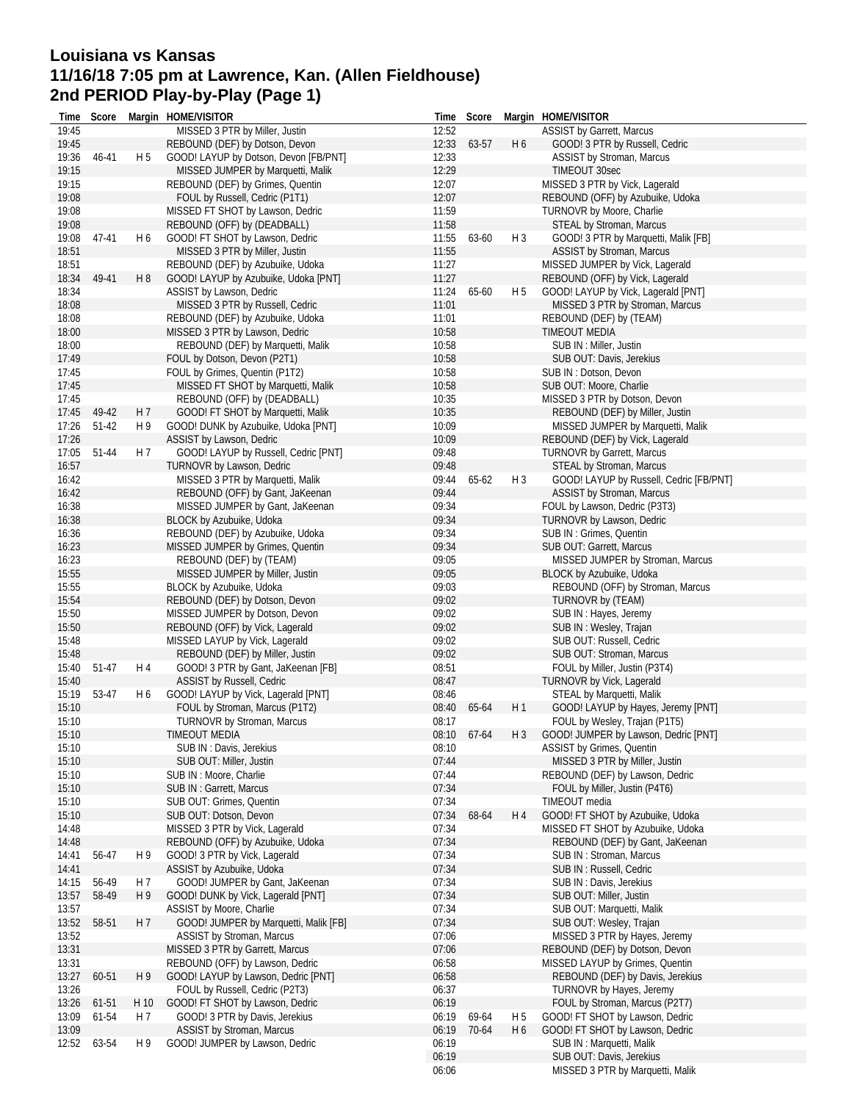# **Louisiana vs Kansas 11/16/18 7:05 pm at Lawrence, Kan. (Allen Fieldhouse) 2nd PERIOD Play-by-Play (Page 1)**

| Time           | Score |                | Margin HOME/VISITOR                                                   | Time           | Score |                | Margin HOME/VISITOR                                                 |
|----------------|-------|----------------|-----------------------------------------------------------------------|----------------|-------|----------------|---------------------------------------------------------------------|
| 19:45          |       |                | MISSED 3 PTR by Miller, Justin                                        | 12:52          |       |                | ASSIST by Garrett, Marcus                                           |
| 19:45          |       |                | REBOUND (DEF) by Dotson, Devon                                        | 12:33          | 63-57 | H <sub>6</sub> | GOOD! 3 PTR by Russell, Cedric                                      |
| 19:36          | 46-41 | H <sub>5</sub> | GOOD! LAYUP by Dotson, Devon [FB/PNT]                                 | 12:33          |       |                | ASSIST by Stroman, Marcus                                           |
| 19:15          |       |                | MISSED JUMPER by Marquetti, Malik                                     | 12:29          |       |                | TIMEOUT 30sec                                                       |
| 19:15          |       |                | REBOUND (DEF) by Grimes, Quentin                                      | 12:07          |       |                | MISSED 3 PTR by Vick, Lagerald                                      |
| 19:08          |       |                | FOUL by Russell, Cedric (P1T1)                                        | 12:07          |       |                | REBOUND (OFF) by Azubuike, Udoka                                    |
| 19:08          |       |                | MISSED FT SHOT by Lawson, Dedric                                      | 11:59          |       |                | TURNOVR by Moore, Charlie                                           |
| 19:08          |       |                | REBOUND (OFF) by (DEADBALL)                                           | 11:58          |       |                | STEAL by Stroman, Marcus                                            |
| 19:08          | 47-41 | H 6            | GOOD! FT SHOT by Lawson, Dedric                                       | 11:55          | 63-60 | $H_3$          | GOOD! 3 PTR by Marquetti, Malik [FB]                                |
| 18:51          |       |                | MISSED 3 PTR by Miller, Justin                                        | 11:55          |       |                | ASSIST by Stroman, Marcus                                           |
| 18:51          |       |                | REBOUND (DEF) by Azubuike, Udoka                                      | 11:27          |       |                | MISSED JUMPER by Vick, Lagerald                                     |
| 18:34          | 49-41 | H8             | GOOD! LAYUP by Azubuike, Udoka [PNT]                                  | 11:27          |       |                | REBOUND (OFF) by Vick, Lagerald                                     |
| 18:34          |       |                | ASSIST by Lawson, Dedric                                              | 11:24          | 65-60 | H 5            | GOOD! LAYUP by Vick, Lagerald [PNT]                                 |
| 18:08          |       |                | MISSED 3 PTR by Russell, Cedric                                       | 11:01          |       |                | MISSED 3 PTR by Stroman, Marcus                                     |
| 18:08          |       |                | REBOUND (DEF) by Azubuike, Udoka                                      | 11:01          |       |                | REBOUND (DEF) by (TEAM)                                             |
| 18:00          |       |                | MISSED 3 PTR by Lawson, Dedric                                        | 10:58          |       |                | TIMEOUT MEDIA                                                       |
| 18:00          |       |                | REBOUND (DEF) by Marquetti, Malik                                     | 10:58          |       |                | SUB IN : Miller, Justin                                             |
| 17:49          |       |                | FOUL by Dotson, Devon (P2T1)                                          | 10:58          |       |                | SUB OUT: Davis, Jerekius                                            |
| 17:45          |       |                | FOUL by Grimes, Quentin (P1T2)                                        | 10:58          |       |                | SUB IN: Dotson, Devon                                               |
| 17:45          |       |                | MISSED FT SHOT by Marquetti, Malik                                    | 10:58          |       |                | SUB OUT: Moore, Charlie                                             |
| 17:45          |       |                | REBOUND (OFF) by (DEADBALL)                                           | 10:35          |       |                | MISSED 3 PTR by Dotson, Devon                                       |
| 17:45          | 49-42 | H 7            | GOOD! FT SHOT by Marquetti, Malik                                     | 10:35          |       |                | REBOUND (DEF) by Miller, Justin                                     |
| 17:26          | 51-42 | H 9            | GOOD! DUNK by Azubuike, Udoka [PNT]                                   | 10:09          |       |                | MISSED JUMPER by Marquetti, Malik                                   |
| 17:26          |       |                | ASSIST by Lawson, Dedric                                              | 10:09          |       |                | REBOUND (DEF) by Vick, Lagerald                                     |
| 17:05          | 51-44 | H 7            | GOOD! LAYUP by Russell, Cedric [PNT]                                  | 09:48          |       |                | TURNOVR by Garrett, Marcus                                          |
| 16:57          |       |                | TURNOVR by Lawson, Dedric                                             | 09:48          |       |                | STEAL by Stroman, Marcus                                            |
| 16:42          |       |                | MISSED 3 PTR by Marquetti, Malik                                      | 09:44          | 65-62 | H <sub>3</sub> | GOOD! LAYUP by Russell, Cedric [FB/PNT]                             |
| 16:42          |       |                | REBOUND (OFF) by Gant, JaKeenan                                       | 09:44          |       |                | ASSIST by Stroman, Marcus                                           |
| 16:38          |       |                | MISSED JUMPER by Gant, JaKeenan                                       | 09:34          |       |                | FOUL by Lawson, Dedric (P3T3)                                       |
| 16:38          |       |                | BLOCK by Azubuike, Udoka                                              | 09:34          |       |                | TURNOVR by Lawson, Dedric                                           |
| 16:36          |       |                | REBOUND (DEF) by Azubuike, Udoka                                      | 09:34          |       |                | SUB IN: Grimes, Quentin                                             |
| 16:23          |       |                | MISSED JUMPER by Grimes, Quentin                                      | 09:34          |       |                | SUB OUT: Garrett, Marcus                                            |
| 16:23          |       |                | REBOUND (DEF) by (TEAM)                                               | 09:05          |       |                | MISSED JUMPER by Stroman, Marcus                                    |
| 15:55          |       |                | MISSED JUMPER by Miller, Justin                                       | 09:05          |       |                | BLOCK by Azubuike, Udoka                                            |
| 15:55          |       |                | BLOCK by Azubuike, Udoka                                              | 09:03          |       |                | REBOUND (OFF) by Stroman, Marcus                                    |
| 15:54          |       |                | REBOUND (DEF) by Dotson, Devon                                        | 09:02          |       |                | TURNOVR by (TEAM)                                                   |
| 15:50          |       |                | MISSED JUMPER by Dotson, Devon                                        | 09:02          |       |                | SUB IN: Hayes, Jeremy                                               |
| 15:50          |       |                | REBOUND (OFF) by Vick, Lagerald                                       | 09:02          |       |                | SUB IN: Wesley, Trajan                                              |
| 15:48          |       |                | MISSED LAYUP by Vick, Lagerald                                        | 09:02          |       |                | SUB OUT: Russell, Cedric                                            |
| 15:48          |       |                | REBOUND (DEF) by Miller, Justin                                       | 09:02          |       |                | SUB OUT: Stroman, Marcus                                            |
| 15:40          | 51-47 | H 4            | GOOD! 3 PTR by Gant, JaKeenan [FB]                                    | 08:51          |       |                | FOUL by Miller, Justin (P3T4)                                       |
| 15:40<br>15:19 | 53-47 | H <sub>6</sub> | ASSIST by Russell, Cedric                                             | 08:47<br>08:46 |       |                | TURNOVR by Vick, Lagerald                                           |
|                |       |                | GOOD! LAYUP by Vick, Lagerald [PNT]<br>FOUL by Stroman, Marcus (P1T2) |                |       | H 1            | STEAL by Marquetti, Malik                                           |
| 15:10<br>15:10 |       |                | TURNOVR by Stroman, Marcus                                            | 08:40<br>08:17 | 65-64 |                | GOOD! LAYUP by Hayes, Jeremy [PNT]<br>FOUL by Wesley, Trajan (P1T5) |
| 15:10          |       |                | TIMEOUT MEDIA                                                         | 08:10 67-64    |       | H 3            | GOOD! JUMPER by Lawson, Dedric [PNT]                                |
| 15:10          |       |                | SUB IN: Davis, Jerekius                                               | 08:10          |       |                | <b>ASSIST by Grimes, Quentin</b>                                    |
| 15:10          |       |                | SUB OUT: Miller, Justin                                               | 07:44          |       |                | MISSED 3 PTR by Miller, Justin                                      |
| 15:10          |       |                | SUB IN: Moore, Charlie                                                | 07:44          |       |                | REBOUND (DEF) by Lawson, Dedric                                     |
| 15:10          |       |                | SUB IN: Garrett, Marcus                                               | 07:34          |       |                | FOUL by Miller, Justin (P4T6)                                       |
| 15:10          |       |                | SUB OUT: Grimes, Quentin                                              | 07:34          |       |                | TIMEOUT media                                                       |
| 15:10          |       |                | SUB OUT: Dotson, Devon                                                | 07:34          | 68-64 | H 4            | GOOD! FT SHOT by Azubuike, Udoka                                    |
| 14:48          |       |                | MISSED 3 PTR by Vick, Lagerald                                        | 07:34          |       |                | MISSED FT SHOT by Azubuike, Udoka                                   |
| 14:48          |       |                | REBOUND (OFF) by Azubuike, Udoka                                      | 07:34          |       |                | REBOUND (DEF) by Gant, JaKeenan                                     |
| 14:41          | 56-47 | H9             | GOOD! 3 PTR by Vick, Lagerald                                         | 07:34          |       |                | SUB IN: Stroman, Marcus                                             |
| 14:41          |       |                | ASSIST by Azubuike, Udoka                                             | 07:34          |       |                | SUB IN: Russell, Cedric                                             |
| 14:15          | 56-49 | H 7            | GOOD! JUMPER by Gant, JaKeenan                                        | 07:34          |       |                | SUB IN : Davis, Jerekius                                            |
| 13:57          | 58-49 | H 9            | GOOD! DUNK by Vick, Lagerald [PNT]                                    | 07:34          |       |                | SUB OUT: Miller, Justin                                             |
| 13:57          |       |                | ASSIST by Moore, Charlie                                              | 07:34          |       |                | SUB OUT: Marquetti, Malik                                           |
| 13:52          | 58-51 | H 7            | GOOD! JUMPER by Marquetti, Malik [FB]                                 | 07:34          |       |                | SUB OUT: Wesley, Trajan                                             |
| 13:52          |       |                | ASSIST by Stroman, Marcus                                             | 07:06          |       |                | MISSED 3 PTR by Hayes, Jeremy                                       |
| 13:31          |       |                | MISSED 3 PTR by Garrett, Marcus                                       | 07:06          |       |                | REBOUND (DEF) by Dotson, Devon                                      |
| 13:31          |       |                | REBOUND (OFF) by Lawson, Dedric                                       | 06:58          |       |                | MISSED LAYUP by Grimes, Quentin                                     |
| 13:27          | 60-51 | H 9            | GOOD! LAYUP by Lawson, Dedric [PNT]                                   | 06:58          |       |                | REBOUND (DEF) by Davis, Jerekius                                    |
| 13:26          |       |                | FOUL by Russell, Cedric (P2T3)                                        | 06:37          |       |                | TURNOVR by Hayes, Jeremy                                            |
| 13:26          | 61-51 | H 10           | GOOD! FT SHOT by Lawson, Dedric                                       | 06:19          |       |                | FOUL by Stroman, Marcus (P2T7)                                      |
| 13:09          | 61-54 | H 7            | GOOD! 3 PTR by Davis, Jerekius                                        | 06:19          | 69-64 | H 5            | GOOD! FT SHOT by Lawson, Dedric                                     |
| 13:09          |       |                | <b>ASSIST by Stroman, Marcus</b>                                      | 06:19          | 70-64 | H <sub>6</sub> | GOOD! FT SHOT by Lawson, Dedric                                     |
| 12:52          | 63-54 | H 9            | GOOD! JUMPER by Lawson, Dedric                                        | 06:19          |       |                | SUB IN: Marquetti, Malik                                            |
|                |       |                |                                                                       | 06:19          |       |                | SUB OUT: Davis, Jerekius                                            |
|                |       |                |                                                                       | 06:06          |       |                | MISSED 3 PTR by Marquetti, Malik                                    |
|                |       |                |                                                                       |                |       |                |                                                                     |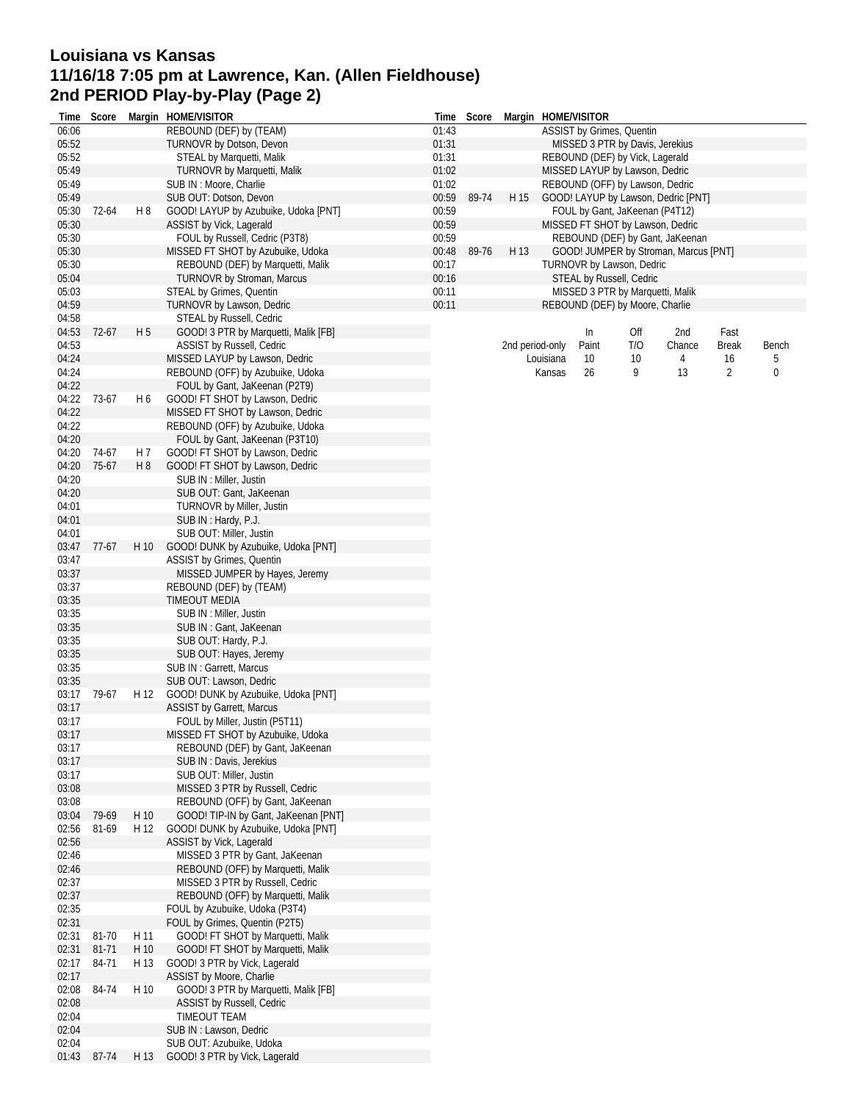# **Louisiana vs Kansas 11/16/18 7:05 pm at Lawrence, Kan. (Allen Fieldhouse) 2nd PERIOD Play-by-Play (Page 2)**

| Time           | Score   |                | Margin HOME/VISITOR                                                    | Time           | Score |      | Margin HOME/VISITOR |       |                                                              |                                       |              |           |
|----------------|---------|----------------|------------------------------------------------------------------------|----------------|-------|------|---------------------|-------|--------------------------------------------------------------|---------------------------------------|--------------|-----------|
| 06:06          |         |                | REBOUND (DEF) by (TEAM)                                                | 01:43          |       |      |                     |       | ASSIST by Grimes, Quentin                                    |                                       |              |           |
| 05:52          |         |                | TURNOVR by Dotson, Devon                                               | 01:31          |       |      |                     |       | MISSED 3 PTR by Davis, Jerekius                              |                                       |              |           |
| 05:52          |         |                | STEAL by Marquetti, Malik                                              | 01:31          |       |      |                     |       | REBOUND (DEF) by Vick, Lagerald                              |                                       |              |           |
| 05:49          |         |                | TURNOVR by Marquetti, Malik                                            | 01:02          |       |      |                     |       | MISSED LAYUP by Lawson, Dedric                               |                                       |              |           |
| 05:49          |         |                | SUB IN : Moore, Charlie                                                | 01:02          |       |      |                     |       | REBOUND (OFF) by Lawson, Dedric                              |                                       |              |           |
| 05:49          |         |                | SUB OUT: Dotson, Devon                                                 | 00:59          | 89-74 | H 15 |                     |       |                                                              | GOOD! LAYUP by Lawson, Dedric [PNT]   |              |           |
| 05:30          | 72-64   | H8             | GOOD! LAYUP by Azubuike, Udoka [PNT]                                   | 00:59          |       |      |                     |       | FOUL by Gant, JaKeenan (P4T12)                               |                                       |              |           |
| 05:30          |         |                | ASSIST by Vick, Lagerald                                               | 00:59          |       |      |                     |       | MISSED FT SHOT by Lawson, Dedric                             |                                       |              |           |
| 05:30          |         |                | FOUL by Russell, Cedric (P3T8)                                         | 00:59          |       | H 13 |                     |       |                                                              | REBOUND (DEF) by Gant, JaKeenan       |              |           |
| 05:30<br>05:30 |         |                | MISSED FT SHOT by Azubuike, Udoka                                      | 00:48<br>00:17 | 89-76 |      |                     |       |                                                              | GOOD! JUMPER by Stroman, Marcus [PNT] |              |           |
| 05:04          |         |                | REBOUND (DEF) by Marquetti, Malik<br><b>TURNOVR by Stroman, Marcus</b> | 00:16          |       |      |                     |       | TURNOVR by Lawson, Dedric<br><b>STEAL by Russell, Cedric</b> |                                       |              |           |
| 05:03          |         |                | STEAL by Grimes, Quentin                                               | 00:11          |       |      |                     |       | MISSED 3 PTR by Marquetti, Malik                             |                                       |              |           |
| 04:59          |         |                | TURNOVR by Lawson, Dedric                                              | 00:11          |       |      |                     |       | REBOUND (DEF) by Moore, Charlie                              |                                       |              |           |
| 04:58          |         |                | STEAL by Russell, Cedric                                               |                |       |      |                     |       |                                                              |                                       |              |           |
| 04:53          | 72-67   | H <sub>5</sub> | GOOD! 3 PTR by Marquetti, Malik [FB]                                   |                |       |      |                     | In    | Off                                                          | 2nd                                   | Fast         |           |
| 04:53          |         |                | <b>ASSIST by Russell, Cedric</b>                                       |                |       |      | 2nd period-only     | Paint | T/O                                                          | Chance                                | <b>Break</b> | Bench     |
| 04:24          |         |                | MISSED LAYUP by Lawson, Dedric                                         |                |       |      | Louisiana           | 10    | 10                                                           | 4                                     | 16           | 5         |
| 04:24          |         |                | REBOUND (OFF) by Azubuike, Udoka                                       |                |       |      | Kansas              | 26    | 9                                                            | 13                                    | 2            | $\pmb{0}$ |
| 04:22          |         |                | FOUL by Gant, JaKeenan (P2T9)                                          |                |       |      |                     |       |                                                              |                                       |              |           |
| 04:22          | 73-67   | H 6            | GOOD! FT SHOT by Lawson, Dedric                                        |                |       |      |                     |       |                                                              |                                       |              |           |
| 04:22          |         |                | MISSED FT SHOT by Lawson, Dedric                                       |                |       |      |                     |       |                                                              |                                       |              |           |
| 04:22          |         |                | REBOUND (OFF) by Azubuike, Udoka                                       |                |       |      |                     |       |                                                              |                                       |              |           |
| 04:20          |         |                | FOUL by Gant, JaKeenan (P3T10)                                         |                |       |      |                     |       |                                                              |                                       |              |           |
| 04:20          | 74-67   | H 7            | GOOD! FT SHOT by Lawson, Dedric                                        |                |       |      |                     |       |                                                              |                                       |              |           |
| 04:20          | 75-67   | H <sub>8</sub> | GOOD! FT SHOT by Lawson, Dedric                                        |                |       |      |                     |       |                                                              |                                       |              |           |
| 04:20          |         |                | SUB IN: Miller, Justin                                                 |                |       |      |                     |       |                                                              |                                       |              |           |
| 04:20          |         |                | SUB OUT: Gant, JaKeenan                                                |                |       |      |                     |       |                                                              |                                       |              |           |
| 04:01          |         |                | TURNOVR by Miller, Justin                                              |                |       |      |                     |       |                                                              |                                       |              |           |
| 04:01          |         |                | SUB IN: Hardy, P.J.                                                    |                |       |      |                     |       |                                                              |                                       |              |           |
| 04:01          |         |                | SUB OUT: Miller, Justin                                                |                |       |      |                     |       |                                                              |                                       |              |           |
| 03:47          | $77-67$ | H 10           | GOOD! DUNK by Azubuike, Udoka [PNT]                                    |                |       |      |                     |       |                                                              |                                       |              |           |
| 03:47          |         |                | ASSIST by Grimes, Quentin                                              |                |       |      |                     |       |                                                              |                                       |              |           |
| 03:37          |         |                | MISSED JUMPER by Hayes, Jeremy                                         |                |       |      |                     |       |                                                              |                                       |              |           |
| 03:37          |         |                | REBOUND (DEF) by (TEAM)                                                |                |       |      |                     |       |                                                              |                                       |              |           |
| 03:35          |         |                | <b>TIMEOUT MEDIA</b>                                                   |                |       |      |                     |       |                                                              |                                       |              |           |
| 03:35          |         |                | SUB IN : Miller, Justin                                                |                |       |      |                     |       |                                                              |                                       |              |           |
| 03:35          |         |                | SUB IN: Gant, JaKeenan                                                 |                |       |      |                     |       |                                                              |                                       |              |           |
| 03:35          |         |                | SUB OUT: Hardy, P.J.                                                   |                |       |      |                     |       |                                                              |                                       |              |           |
| 03:35          |         |                | SUB OUT: Hayes, Jeremy                                                 |                |       |      |                     |       |                                                              |                                       |              |           |
| 03:35          |         |                | SUB IN: Garrett, Marcus                                                |                |       |      |                     |       |                                                              |                                       |              |           |
| 03:35          |         |                | SUB OUT: Lawson, Dedric                                                |                |       |      |                     |       |                                                              |                                       |              |           |
| 03:17          | 79-67   | H 12           | GOOD! DUNK by Azubuike, Udoka [PNT]                                    |                |       |      |                     |       |                                                              |                                       |              |           |
| 03:17          |         |                | <b>ASSIST by Garrett, Marcus</b>                                       |                |       |      |                     |       |                                                              |                                       |              |           |
| 03:17          |         |                | FOUL by Miller, Justin (P5T11)                                         |                |       |      |                     |       |                                                              |                                       |              |           |
| 03:17          |         |                | MISSED FT SHOT by Azubuike, Udoka                                      |                |       |      |                     |       |                                                              |                                       |              |           |
| 03:17          |         |                | REBOUND (DEF) by Gant, JaKeenan                                        |                |       |      |                     |       |                                                              |                                       |              |           |
| 03:17          |         |                | SUB IN : Davis, Jerekius                                               |                |       |      |                     |       |                                                              |                                       |              |           |
| 03:17<br>03:08 |         |                | SUB OUT: Miller, Justin<br>MISSED 3 PTR by Russell, Cedric             |                |       |      |                     |       |                                                              |                                       |              |           |
| 03:08          |         |                | REBOUND (OFF) by Gant, JaKeenan                                        |                |       |      |                     |       |                                                              |                                       |              |           |
| 03:04          | 79-69   | H 10           | GOOD! TIP-IN by Gant, JaKeenan [PNT]                                   |                |       |      |                     |       |                                                              |                                       |              |           |
| 02:56          | 81-69   | H 12           | GOOD! DUNK by Azubuike, Udoka [PNT]                                    |                |       |      |                     |       |                                                              |                                       |              |           |
| 02:56          |         |                | ASSIST by Vick, Lagerald                                               |                |       |      |                     |       |                                                              |                                       |              |           |
| 02:46          |         |                | MISSED 3 PTR by Gant, JaKeenan                                         |                |       |      |                     |       |                                                              |                                       |              |           |
| 02:46          |         |                | REBOUND (OFF) by Marquetti, Malik                                      |                |       |      |                     |       |                                                              |                                       |              |           |
| 02:37          |         |                | MISSED 3 PTR by Russell, Cedric                                        |                |       |      |                     |       |                                                              |                                       |              |           |
| 02:37          |         |                | REBOUND (OFF) by Marquetti, Malik                                      |                |       |      |                     |       |                                                              |                                       |              |           |
| 02:35          |         |                | FOUL by Azubuike, Udoka (P3T4)                                         |                |       |      |                     |       |                                                              |                                       |              |           |
| 02:31          |         |                | FOUL by Grimes, Quentin (P2T5)                                         |                |       |      |                     |       |                                                              |                                       |              |           |
| 02:31          | 81-70   | H 11           | GOOD! FT SHOT by Marquetti, Malik                                      |                |       |      |                     |       |                                                              |                                       |              |           |
| 02:31          | 81-71   | H 10           | GOOD! FT SHOT by Marquetti, Malik                                      |                |       |      |                     |       |                                                              |                                       |              |           |
| 02:17          | 84-71   | H 13           | GOOD! 3 PTR by Vick, Lagerald                                          |                |       |      |                     |       |                                                              |                                       |              |           |
| 02:17          |         |                | ASSIST by Moore, Charlie                                               |                |       |      |                     |       |                                                              |                                       |              |           |
| 02:08          | 84-74   | H 10           | GOOD! 3 PTR by Marquetti, Malik [FB]                                   |                |       |      |                     |       |                                                              |                                       |              |           |
| 02:08          |         |                | <b>ASSIST by Russell, Cedric</b>                                       |                |       |      |                     |       |                                                              |                                       |              |           |
| 02:04          |         |                | TIMEOUT TEAM                                                           |                |       |      |                     |       |                                                              |                                       |              |           |
| 02:04          |         |                | SUB IN : Lawson, Dedric                                                |                |       |      |                     |       |                                                              |                                       |              |           |
| 02:04          |         |                | SUB OUT: Azubuike, Udoka                                               |                |       |      |                     |       |                                                              |                                       |              |           |
| 01:43          | 87-74   | H 13           | GOOD! 3 PTR by Vick, Lagerald                                          |                |       |      |                     |       |                                                              |                                       |              |           |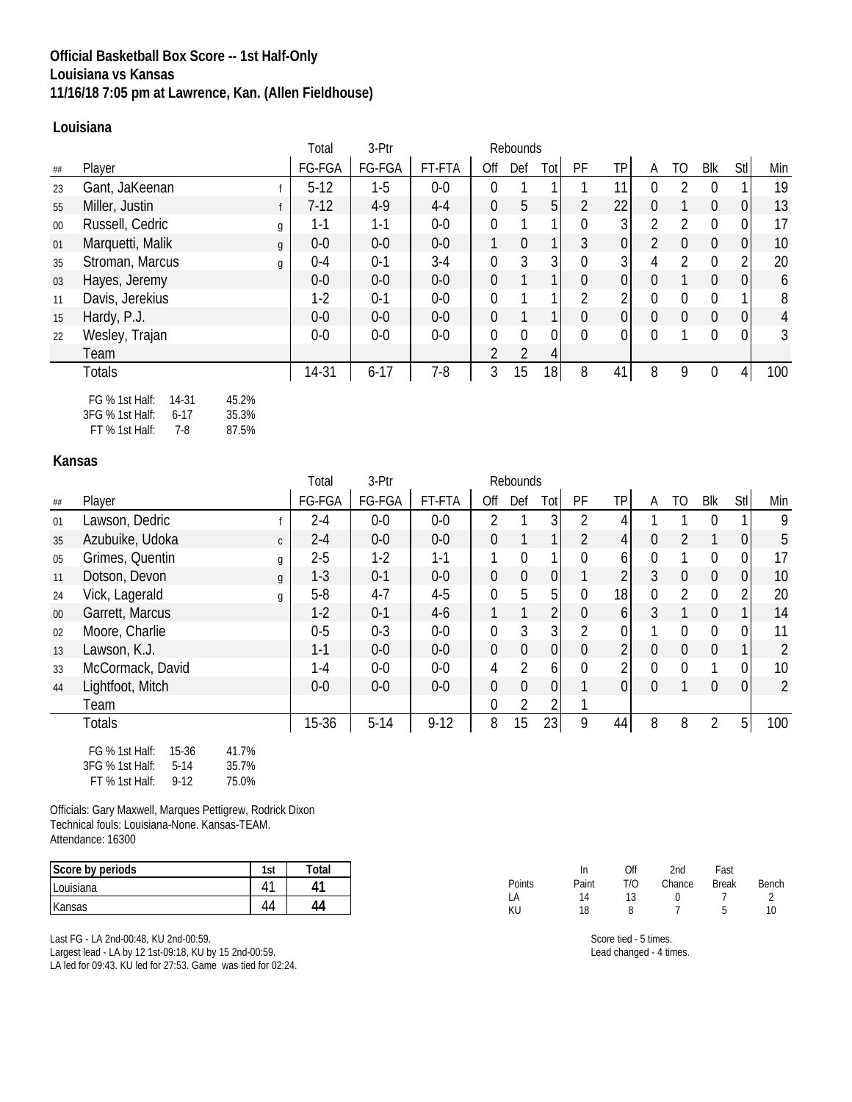## **Official Basketball Box Score -- 1st Half-Only Louisiana vs Kansas 11/16/18 7:05 pm at Lawrence, Kan. (Allen Fieldhouse)**

### **Louisiana**

|        |                                      | Total   | 3-Ptr    |         | Rebounds       |                |          |                  |                |                |                  |                |                |                |
|--------|--------------------------------------|---------|----------|---------|----------------|----------------|----------|------------------|----------------|----------------|------------------|----------------|----------------|----------------|
| ##     | Player                               | FG-FGA  | FG-FGA   | FT-FTA  | Off            | Def            | Tot      | PF               | TP             | A              | TO               | Blk            | Stl            | Min            |
| 23     | Gant, JaKeenan                       | $5-12$  | $1-5$    | $0-0$   | $\Omega$       |                |          |                  | 11             | 0              | $\mathfrak{D}$   | $\Omega$       |                | 19             |
| 55     | Miller, Justin                       | $7-12$  | $4-9$    | $4 - 4$ | $\overline{0}$ | 5              | 5        | $\overline{2}$   | 22             | $\Omega$       |                  | $\overline{0}$ | 0              | 13             |
| $00\,$ | Russell, Cedric<br>g                 | $1 - 1$ | $1 - 1$  | $0-0$   | $\theta$       |                |          | $\overline{0}$   | 3 <sup>1</sup> | $\mathcal{P}$  | 2                | $\Omega$       | $\mathbf 0$    | 17             |
| 01     | Marquetti, Malik<br>$\mathfrak{g}$   | $0-0$   | $0-0$    | $0-0$   |                | $\theta$       |          | 3                | 0              | $\mathfrak{D}$ | $\boldsymbol{0}$ | $\overline{0}$ | $\overline{0}$ | 10             |
| 35     | Stroman, Marcus<br>g                 | $0 - 4$ | $0 - 1$  | $3-4$   | $\overline{0}$ | 3              | 3        | $\overline{0}$   | 3 <sup>1</sup> | 4              | $\overline{2}$   | $\Omega$       | $\overline{2}$ | 20             |
| 03     | Hayes, Jeremy                        | $0-0$   | $0-0$    | $0-0$   | $\theta$       |                |          | $\boldsymbol{0}$ | 0              | $\Omega$       |                  | $\overline{0}$ | 0              | 6              |
| 11     | Davis, Jerekius                      | $1-2$   | $0 - 1$  | $0-0$   | $\theta$       |                |          | $\overline{2}$   | 2              | $\Omega$       | $\mathbf{0}$     | $\Omega$       |                | 8              |
| 15     | Hardy, P.J.                          | $0-0$   | $0-0$    | $0-0$   | $\overline{0}$ |                |          | $\overline{0}$   | $\overline{0}$ | $\Omega$       | $\mathbf 0$      | 0              | $\overline{0}$ | 4              |
| 22     | Wesley, Trajan                       | $0-0$   | $0-0$    | $0-0$   | $\theta$       | $\mathbf{0}$   | $\Omega$ | $\mathbf{0}$     | 0              | 0              |                  | 0              | 0              | $\mathfrak{Z}$ |
|        | Team                                 |         |          |         | $\overline{2}$ | $\overline{2}$ | 4        |                  |                |                |                  |                |                |                |
|        | <b>Totals</b>                        | 14-31   | $6 - 17$ | $7-8$   | 3              | 15             | 18       | 8                | 41             | 8              | 9                | $\mathbf{0}$   | 4 <sup>1</sup> | 100            |
|        | FG % 1st Half:<br>14-31<br>45.2%     |         |          |         |                |                |          |                  |                |                |                  |                |                |                |
|        | 3FG % 1st Half:<br>35.3%<br>$6 - 17$ |         |          |         |                |                |          |                  |                |                |                  |                |                |                |

FT % 1st Half: 7-8 87.5%

#### **Kansas**

|        |                                     | Total                     | 3-Ptr   | Rebounds |                  |                |                |                |                 |                  |                  |                  |                  |                |
|--------|-------------------------------------|---------------------------|---------|----------|------------------|----------------|----------------|----------------|-----------------|------------------|------------------|------------------|------------------|----------------|
| ##     | Player                              | FG-FGA                    | FG-FGA  | FT-FTA   | Off              | Def            | Tot            | PF             | TP              | A                | TO               | Blk              | Stl              | Min            |
| 01     | Lawson, Dedric                      | $2 - 4$                   | $0-0$   | $0-0$    | $\overline{2}$   |                | 3              | $\overline{2}$ | 4               |                  |                  | $\mathbf{0}$     |                  | 9              |
| 35     | Azubuike, Udoka                     | $2 - 4$<br>$\mathsf{C}$   | $0-0$   | $0-0$    | $\mathbf 0$      |                | $\mathbf{1}$   | $\overline{2}$ | $\vert 4 \vert$ | $\overline{0}$   | $\overline{2}$   |                  | $\overline{0}$   | 5              |
| 05     | Grimes, Quentin                     | $2 - 5$<br>g              | $1-2$   | $1 - 1$  | 1                | $\overline{0}$ | 1 <sub>1</sub> | 0              | 6               | $\boldsymbol{0}$ |                  | $\boldsymbol{0}$ | $\overline{0}$   | 17             |
| 11     | Dotson, Devon                       | $1 - 3$<br>$\mathfrak{g}$ | $0 - 1$ | $0-0$    | $\mathbf 0$      | $\mathbf 0$    | 0              |                | $\overline{2}$  | $\mathfrak{Z}$   | $\mathbf 0$      | $\overline{0}$   | $\overline{0}$   | 10             |
| 24     | Vick, Lagerald                      | $5-8$<br>g                | $4 - 7$ | $4-5$    | $\boldsymbol{0}$ | 5              | 5              | $\mathbf 0$    | 18              | $\overline{0}$   | $\overline{2}$   | $\boldsymbol{0}$ | $\overline{2}$   | 20             |
| $00\,$ | Garrett, Marcus                     | $1-2$                     | $0 - 1$ | $4-6$    | 1                |                | $\overline{2}$ | 0              | 6 <sup>1</sup>  | $\mathbf{3}$     |                  | $\overline{0}$   | 1                | 14             |
| 02     | Moore, Charlie                      | $0-5$                     | $0 - 3$ | $0-0$    | $\boldsymbol{0}$ | 3              | 3              | $\overline{2}$ | 0               |                  | $\boldsymbol{0}$ | $\overline{0}$   | $\overline{0}$   | 11             |
| 13     | Lawson, K.J.                        | $1 - 1$                   | $0-0$   | $0-0$    | $\overline{0}$   | $\overline{0}$ | $\overline{0}$ | $\overline{0}$ | $\overline{2}$  | $\overline{0}$   | $\mathbf 0$      | $\boldsymbol{0}$ |                  | $\overline{2}$ |
| 33     | McCormack, David                    | $1 - 4$                   | $0-0$   | $0-0$    | 4                | $\overline{2}$ | 6 <sup>1</sup> | $\mathbf 0$    | $\overline{2}$  | $\overline{0}$   | $\mathbf 0$      |                  | $\boldsymbol{0}$ | 10             |
| 44     | Lightfoot, Mitch                    | $0-0$                     | $0-0$   | $0-0$    | $\boldsymbol{0}$ | $\mathbf 0$    | $\mathbf 0$    | 1              | $\overline{0}$  | $\overline{0}$   | 1                | $\boldsymbol{0}$ | $\overline{0}$   | $\overline{2}$ |
|        | Team                                |                           |         |          | $\boldsymbol{0}$ | $\overline{2}$ |                |                |                 |                  |                  |                  |                  |                |
|        | <b>Totals</b>                       | $15 - 36$                 | $5-14$  | $9-12$   | 8                | 15             | 23             | 9              | 44              | 8                | 8                | 2                | 5 <sup>1</sup>   | 100            |
|        | 41.7%<br>FG % 1st Half:<br>$15-36$  |                           |         |          |                  |                |                |                |                 |                  |                  |                  |                  |                |
|        | 3FG % 1st Half:<br>35.7%<br>$5-14$  |                           |         |          |                  |                |                |                |                 |                  |                  |                  |                  |                |
|        | 75.0%<br>FT % 1st Half:<br>$9 - 12$ |                           |         |          |                  |                |                |                |                 |                  |                  |                  |                  |                |

Officials: Gary Maxwell, Marques Pettigrew, Rodrick Dixon Technical fouls: Louisiana-None. Kansas-TEAM. Attendance: 16300

| Score by periods | 1st     | Total |          |       | Off    | 2nd    | Fast         |       |
|------------------|---------|-------|----------|-------|--------|--------|--------------|-------|
| Louisiana        | 11<br>4 |       | Points   | Paint | T/O    | Chance | <b>Break</b> | Bench |
| Kansas           | 44      | 44    | LA<br>KU | 18    | $\sim$ |        |              | 10    |
|                  |         |       |          |       |        |        |              |       |

Last FG - LA 2nd-00:48, KU 2nd-00:59. Largest lead - LA by 12 1st-09:18, KU by 15 2nd-00:59. LA led for 09:43. KU led for 27:53. Game was tied for 02:24. Score tied - 5 times. Lead changed - 4 times.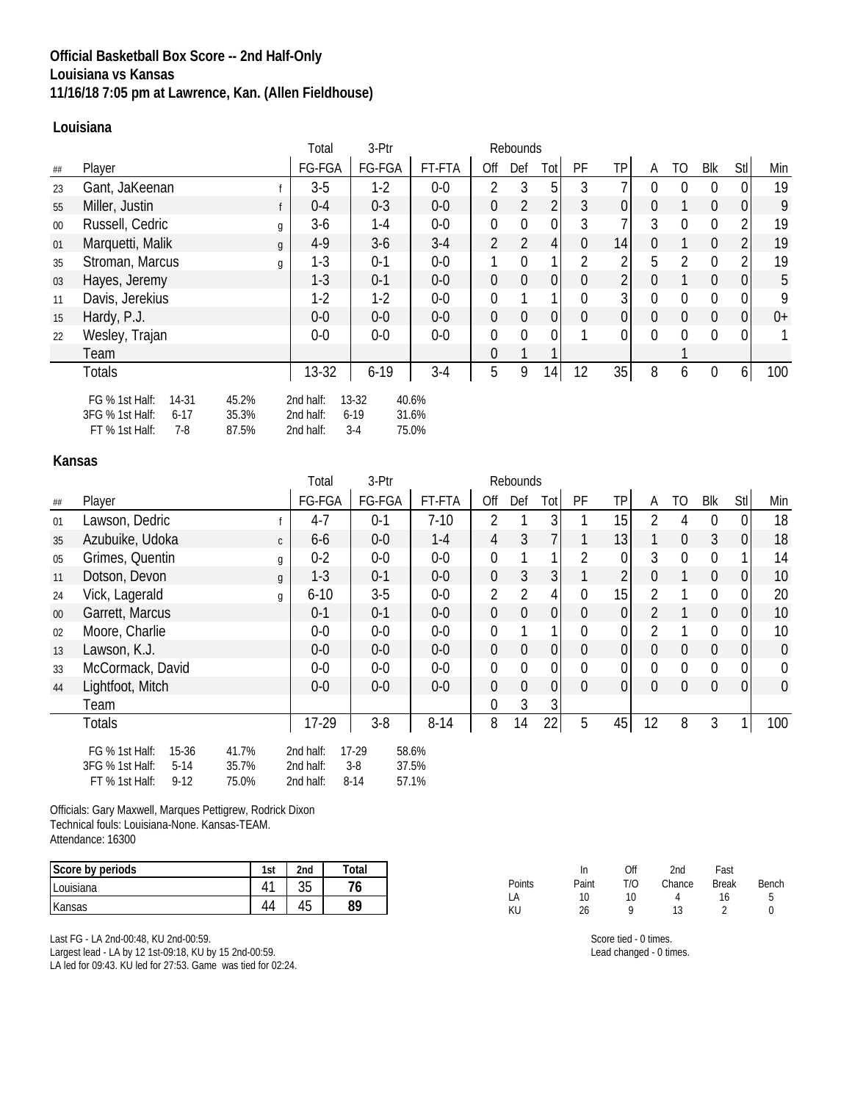## **Official Basketball Box Score -- 2nd Half-Only Louisiana vs Kansas 11/16/18 7:05 pm at Lawrence, Kan. (Allen Fieldhouse)**

### **Louisiana**

|        |                                                                                                            | Total                               | 3-Ptr                      | Rebounds                |                |                |                |              |             |          |                |                |                |      |
|--------|------------------------------------------------------------------------------------------------------------|-------------------------------------|----------------------------|-------------------------|----------------|----------------|----------------|--------------|-------------|----------|----------------|----------------|----------------|------|
| ##     | Player                                                                                                     | FG-FGA                              | FG-FGA                     | FT-FTA                  | Off            | Def            | Tot            | PF           | TP          | A        | TO.            | Blk            | Stl            | Min  |
| 23     | Gant, JaKeenan                                                                                             | $3-5$                               | $1-2$                      | $0-0$                   | $\overline{2}$ | 3              | 5              | 3            |             | 0        | $\overline{0}$ | 0              | $\mathbf{0}$   | 19   |
| 55     | Miller, Justin                                                                                             | $0 - 4$                             | $0 - 3$                    | $0-0$                   | $\overline{0}$ | $\overline{2}$ | 2              | 3            | $\mathbf 0$ | 0        |                | $\overline{0}$ | $\overline{0}$ | 9    |
| $00\,$ | Russell, Cedric<br>g                                                                                       | $3-6$                               | $1 - 4$                    | $0-0$                   | $\mathbf 0$    | $\mathbf 0$    | 0              | 3            |             | 3        | $\overline{0}$ | 0              | $\overline{2}$ | 19   |
| 01     | Marquetti, Malik<br>$\mathfrak{g}$                                                                         | $4-9$                               | $3-6$                      | $3-4$                   | $\overline{2}$ | 2              | 4              | 0            | 14          | 0        |                | $\theta$       | $\overline{2}$ | 19   |
| 35     | Stroman, Marcus<br>g                                                                                       | $1 - 3$                             | $0 - 1$                    | $0-0$                   |                | $\overline{0}$ |                | 2            | 2           | 5        | $\overline{2}$ | $\Omega$       | 2              | 19   |
| 03     | Hayes, Jeremy                                                                                              | $1 - 3$                             | $0 - 1$                    | $0-0$                   | $\mathbf 0$    | $\overline{0}$ | $\Omega$       | 0            | 2           | 0        |                | $\Omega$       | $\overline{0}$ | 5    |
| 11     | Davis, Jerekius                                                                                            | $1-2$                               | $1-2$                      | $0-0$                   | $\mathbf{0}$   |                |                | $\mathbf{0}$ | 3           | $\Omega$ | $\overline{0}$ | 0              | $\mathbf 0$    | 9    |
| 15     | Hardy, P.J.                                                                                                | $0-0$                               | $0-0$                      | $0-0$                   | $\mathbf 0$    | $\mathbf{0}$   | $\overline{0}$ | $\mathbf 0$  | 0           | 0        | $\mathbf 0$    | $\overline{0}$ | $\overline{0}$ | $0+$ |
| 22     | Wesley, Trajan                                                                                             | $0-0$                               | $0-0$                      | $0-0$                   | $\mathbf 0$    | $\overline{0}$ | $\Omega$       |              | 0           | $\Omega$ | $\mathbf{0}$   | $\Omega$       | $\mathbf 0$    |      |
|        | Team                                                                                                       |                                     |                            |                         | $\overline{0}$ |                |                |              |             |          |                |                |                |      |
|        | <b>Totals</b>                                                                                              | 13-32                               | $6 - 19$                   | $3-4$                   | 5              | 9              | 14             | 12           | 35          | 8        | 6              | $\overline{0}$ | 6 <sup>1</sup> | 100  |
|        | 45.2%<br>FG % 1st Half:<br>14-31<br>3FG % 1st Half:<br>35.3%<br>$6 - 17$<br>FT % 1st Half:<br>87.5%<br>7-8 | 2nd half:<br>2nd half:<br>2nd half: | $13-32$<br>$6-19$<br>$3-4$ | 40.6%<br>31.6%<br>75.0% |                |                |                |              |             |          |                |                |                |      |

### **Kansas**

|        |                                                                                                                 | Total                               | 3-Ptr                        |                         |                  | Rebounds       |                |                |                |                |                |                |                  |                  |
|--------|-----------------------------------------------------------------------------------------------------------------|-------------------------------------|------------------------------|-------------------------|------------------|----------------|----------------|----------------|----------------|----------------|----------------|----------------|------------------|------------------|
| ##     | Player                                                                                                          | FG-FGA                              | FG-FGA                       | FT-FTA                  | Off              | Def            | Totl           | PF             | TP             | A              | TO             | Blk            | Stl              | Min              |
| 01     | Lawson, Dedric                                                                                                  | $4 - 7$                             | $0 - 1$                      | $7-10$                  | $\overline{2}$   |                | 3              |                | 15             | 2              | 4              | 0              | 0                | 18               |
| 35     | Azubuike, Udoka                                                                                                 | $6-6$<br>$\mathsf{C}$               | $0-0$                        | $1 - 4$                 | $\overline{4}$   | $\mathfrak{Z}$ |                |                | 13             |                | $\mathbf{0}$   | $\mathfrak{Z}$ | 0                | 18               |
| 05     | Grimes, Quentin                                                                                                 | $0 - 2$<br>g                        | $0-0$                        | $0-0$                   | $\overline{0}$   |                |                | $\overline{2}$ | 0              | 3              | $\mathbf{0}$   | 0              |                  | 14               |
| 11     | Dotson, Devon                                                                                                   | $1-3$<br>g                          | $0 - 1$                      | $0-0$                   | $\mathbf 0$      | 3              | 3              |                | $\overline{2}$ | 0              |                | $\overline{0}$ | $\overline{0}$   | 10               |
| 24     | Vick, Lagerald                                                                                                  | $6 - 10$<br>g                       | $3-5$                        | $0-0$                   | $\overline{2}$   | $\overline{2}$ | 4              | $\mathbf{0}$   | 15             | $\mathfrak{D}$ |                | 0              | $\mathbf 0$      | 20               |
| $00\,$ | Garrett, Marcus                                                                                                 | $0 - 1$                             | $0 - 1$                      | $0-0$                   | $\overline{0}$   | $\theta$       | 0              | $\theta$       | 0              | $\mathcal{P}$  |                | $\overline{0}$ | $\overline{0}$   | 10               |
| 02     | Moore, Charlie                                                                                                  | $0-0$                               | $0-0$                        | $0-0$                   | $\mathbf{0}$     |                |                | $\mathbf{0}$   | 0              | 2              |                | 0              | $\mathbf 0$      | 10               |
| 13     | Lawson, K.J.                                                                                                    | $0-0$                               | $0-0$                        | $0-0$                   | $\mathbf 0$      | $\mathbf 0$    | 0              | $\theta$       | 0              | 0              | $\mathbf 0$    | $\overline{0}$ | $\overline{0}$   | $\pmb{0}$        |
| 33     | McCormack, David                                                                                                | $0-0$                               | $0-0$                        | $0-0$                   | $\overline{0}$   | $\overline{0}$ | $\overline{0}$ | $\mathbf{0}$   | 0              | $\Omega$       | $\mathbf 0$    | $\mathbf{0}$   | $\boldsymbol{0}$ | $\boldsymbol{0}$ |
| 44     | Lightfoot, Mitch                                                                                                | $0-0$                               | $0-0$                        | $0-0$                   | $\mathbf 0$      | $\mathbf 0$    | $\overline{0}$ | $\theta$       | 0              | $\Omega$       | $\overline{0}$ | $\overline{0}$ | $\overline{0}$   | $\mathbf 0$      |
|        | Team                                                                                                            |                                     |                              |                         | $\boldsymbol{0}$ | 3              | 3              |                |                |                |                |                |                  |                  |
|        | <b>Totals</b>                                                                                                   | 17-29                               | $3-8$                        | $8 - 14$                | 8                | 14             | 22             | 5              | 45             | 12             | 8              | 3              | 1 <sub>1</sub>   | 100              |
|        | 41.7%<br>FG % 1st Half:<br>15-36<br>35.7%<br>3FG % 1st Half:<br>$5 - 14$<br>FT % 1st Half:<br>$9 - 12$<br>75.0% | 2nd half:<br>2nd half:<br>2nd half: | $17-29$<br>$3-8$<br>$8 - 14$ | 58.6%<br>37.5%<br>57.1% |                  |                |                |                |                |                |                |                |                  |                  |

Officials: Gary Maxwell, Marques Pettigrew, Rodrick Dixon Technical fouls: Louisiana-None. Kansas-TEAM. Attendance: 16300

| Score by periods | 1st | 2 <sub>nd</sub> | Total |
|------------------|-----|-----------------|-------|
| Louisiana        |     | $\Omega$<br>نټ  |       |
| Kansas           |     | 45              | 89    |

Last FG - LA 2nd-00:48, KU 2nd-00:59. Largest lead - LA by 12 1st-09:18, KU by 15 2nd-00:59. LA led for 09:43. KU led for 27:53. Game was tied for 02:24.

|        | In    | Off | 2nd    | Fast         |       |
|--------|-------|-----|--------|--------------|-------|
| Points | Paint | T/O | Chance | <b>Break</b> | Bench |
| LA     | 10    | 10  |        | 16           | 5     |
| ΚU     | 26    | a   | 13.    |              | n     |

Score tied - 0 times. Lead changed - 0 times.